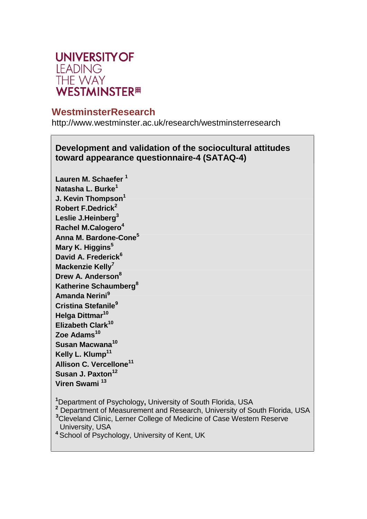

# **WestminsterResearch**

<http://www.westminster.ac.uk/research/westminsterresearch>

**Development and validation of the sociocultural attitudes toward appearance questionnaire-4 (SATAQ-4)**

**Lauren M. Schaefer <sup>1</sup> Natasha L. Burke<sup>1</sup> J. Kevin Thompson<sup>1</sup> Robert F.Dedrick<sup>2</sup> Leslie J.Heinberg<sup>3</sup> Rachel M.Calogero<sup>4</sup> Anna M. Bardone-Cone<sup>5</sup> Mary K. Higgins<sup>5</sup> David A. Frederick<sup>6</sup> Mackenzie Kelly<sup>7</sup> Drew A. Anderson<sup>8</sup> Katherine Schaumberg<sup>8</sup> Amanda Nerini<sup>9</sup> Cristina Stefanile<sup>9</sup> Helga Dittmar<sup>10</sup> Elizabeth Clark<sup>10</sup> Zoe Adams<sup>10</sup> Susan Macwana<sup>10</sup> Kelly L. Klump<sup>11</sup> Allison C. Vercellone<sup>11</sup> Susan J. Paxton<sup>12</sup> Viren Swami <sup>13</sup>**

**<sup>1</sup>**Department of Psychology**,** University of South Florida, USA

**<sup>2</sup>** Department of Measurement and Research, University of South Florida, USA

**<sup>3</sup>**Cleveland Clinic, Lerner College of Medicine of Case Western Reserve University, USA

**<sup>4</sup>** School of Psychology, University of Kent, UK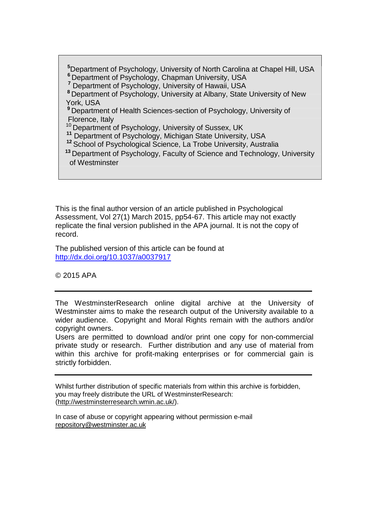**6** Department of Psychology, Chapman University, USA **<sup>5</sup>**Department of Psychology, University of North Carolina at Chapel Hill, USA

**<sup>7</sup>** Department of Psychology, University of Hawaii, USA

**<sup>8</sup>** Department of Psychology, University at Albany, State University of New York, USA

**<sup>9</sup>** Department of Health Sciences-section of Psychology, University of Florence, Italy

<sup>10</sup> Department of Psychology, University of Sussex, UK

**<sup>11</sup>** Department of Psychology, Michigan State University, USA

**<sup>12</sup>** School of Psychological Science, La Trobe University, Australia

**<sup>13</sup>** Department of Psychology, Faculty of Science and Technology, University of Westminster

This is the final author version of an article published in Psychological Assessment, Vol 27(1) March 2015, pp54-67. This article may not exactly replicate the final version published in the APA journal. It is not the copy of record.

The published version of this article can be found at <http://dx.doi.org/10.1037/a0037917>

© 2015 APA

The WestminsterResearch online digital archive at the University of Westminster aims to make the research output of the University available to a wider audience. Copyright and Moral Rights remain with the authors and/or copyright owners.

Users are permitted to download and/or print one copy for non-commercial private study or research. Further distribution and any use of material from within this archive for profit-making enterprises or for commercial gain is strictly forbidden.

Whilst further distribution of specific materials from within this archive is forbidden, you may freely distribute the URL of WestminsterResearch: [\(http://westminsterresearch.wmin.ac.uk/\).](http://westminsterresearch.wmin.ac.uk/))

In case of abuse or copyright appearing without permission e-mail [repository@westminster.ac.uk](mailto:repository@westminster.ac.uk)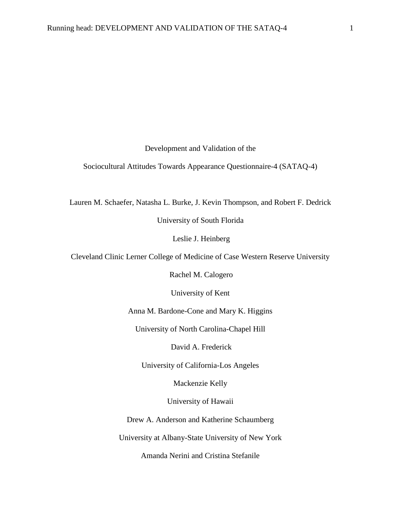Development and Validation of the

Sociocultural Attitudes Towards Appearance Questionnaire-4 (SATAQ-4)

Lauren M. Schaefer, Natasha L. Burke, J. Kevin Thompson, and Robert F. Dedrick

University of South Florida

Leslie J. Heinberg

Cleveland Clinic Lerner College of Medicine of Case Western Reserve University

Rachel M. Calogero

University of Kent

Anna M. Bardone-Cone and Mary K. Higgins

University of North Carolina-Chapel Hill

David A. Frederick

University of California-Los Angeles

Mackenzie Kelly

University of Hawaii

Drew A. Anderson and Katherine Schaumberg

University at Albany-State University of New York

Amanda Nerini and Cristina Stefanile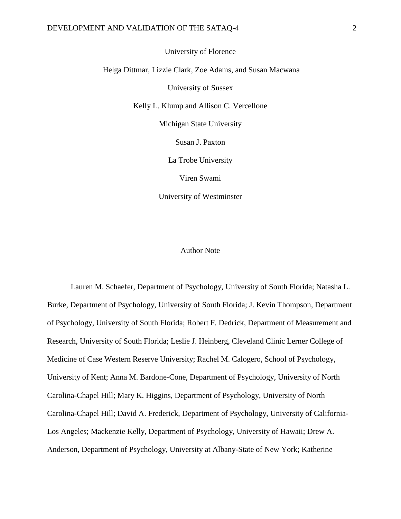University of Florence

Helga Dittmar, Lizzie Clark, Zoe Adams, and Susan Macwana

University of Sussex

Kelly L. Klump and Allison C. Vercellone

Michigan State University

Susan J. Paxton

La Trobe University

Viren Swami

University of Westminster

#### Author Note

Lauren M. Schaefer, Department of Psychology, University of South Florida; Natasha L. Burke, Department of Psychology, University of South Florida; J. Kevin Thompson, Department of Psychology, University of South Florida; Robert F. Dedrick, Department of Measurement and Research, University of South Florida; Leslie J. Heinberg, Cleveland Clinic Lerner College of Medicine of Case Western Reserve University; Rachel M. Calogero, School of Psychology, University of Kent; Anna M. Bardone-Cone, Department of Psychology, University of North Carolina-Chapel Hill; Mary K. Higgins, Department of Psychology, University of North Carolina-Chapel Hill; David A. Frederick, Department of Psychology, University of California-Los Angeles; Mackenzie Kelly, Department of Psychology, University of Hawaii; Drew A. Anderson, Department of Psychology, University at Albany-State of New York; Katherine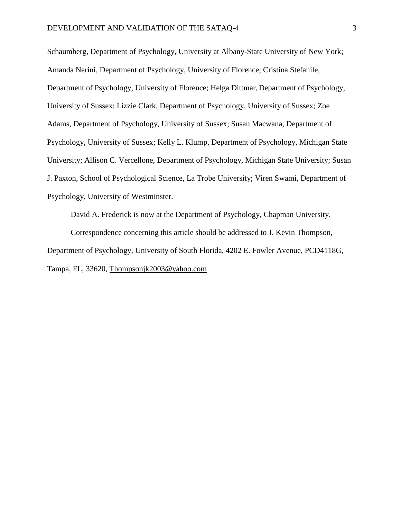Schaumberg, Department of Psychology, University at Albany-State University of New York; Amanda Nerini, Department of Psychology, University of Florence; Cristina Stefanile, Department of Psychology, University of Florence; Helga Dittmar, Department of Psychology, University of Sussex; Lizzie Clark, Department of Psychology, University of Sussex; Zoe Adams, Department of Psychology, University of Sussex; Susan Macwana, Department of Psychology, University of Sussex; Kelly L. Klump, Department of Psychology, Michigan State University; Allison C. Vercellone, Department of Psychology, Michigan State University; Susan J. Paxton, School of Psychological Science, La Trobe University; Viren Swami, Department of Psychology, University of Westminster.

David A. Frederick is now at the Department of Psychology, Chapman University. Correspondence concerning this article should be addressed to J. Kevin Thompson, Department of Psychology, University of South Florida, 4202 E. Fowler Avenue, PCD4118G, Tampa, FL, 33620, [Thompsonjk2003@yahoo.com](mailto:Thompsonjk2003@yahoo.com)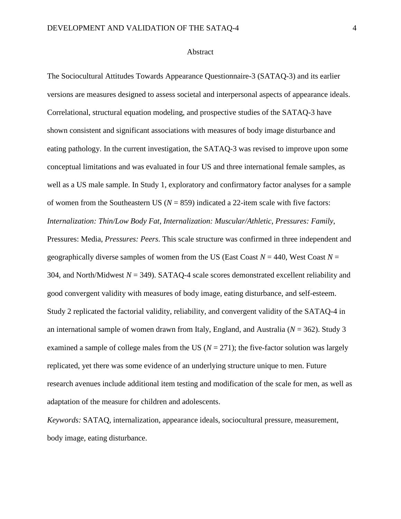#### Abstract

The Sociocultural Attitudes Towards Appearance Questionnaire-3 (SATAQ-3) and its earlier versions are measures designed to assess societal and interpersonal aspects of appearance ideals. Correlational, structural equation modeling, and prospective studies of the SATAQ-3 have shown consistent and significant associations with measures of body image disturbance and eating pathology. In the current investigation, the SATAQ-3 was revised to improve upon some conceptual limitations and was evaluated in four US and three international female samples, as well as a US male sample. In Study 1, exploratory and confirmatory factor analyses for a sample of women from the Southeastern US ( $N = 859$ ) indicated a 22-item scale with five factors: *Internalization: Thin/Low Body Fat*, *Internalization: Muscular/Athletic*, *Pressures: Family*, Pressures: Media, *Pressures: Peers*. This scale structure was confirmed in three independent and geographically diverse samples of women from the US (East Coast  $N = 440$ , West Coast  $N =$ 304, and North/Midwest *N* = 349). SATAQ-4 scale scores demonstrated excellent reliability and good convergent validity with measures of body image, eating disturbance, and self-esteem. Study 2 replicated the factorial validity, reliability, and convergent validity of the SATAQ-4 in an international sample of women drawn from Italy, England, and Australia (*N* = 362). Study 3 examined a sample of college males from the US ( $N = 271$ ); the five-factor solution was largely replicated, yet there was some evidence of an underlying structure unique to men. Future research avenues include additional item testing and modification of the scale for men, as well as adaptation of the measure for children and adolescents.

*Keywords:* SATAQ, internalization, appearance ideals, sociocultural pressure, measurement, body image, eating disturbance.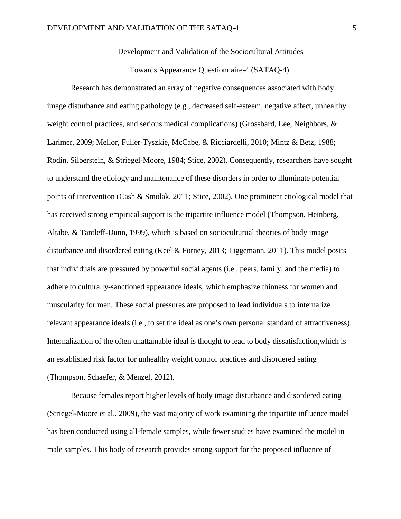Development and Validation of the Sociocultural Attitudes

Towards Appearance Questionnaire-4 (SATAQ-4)

Research has demonstrated an array of negative consequences associated with body image disturbance and eating pathology (e.g., decreased self-esteem, negative affect, unhealthy weight control practices, and serious medical complications) (Grossbard, Lee, Neighbors, & Larimer, 2009; Mellor, Fuller-Tyszkie, McCabe, & Ricciardelli, 2010; Mintz & Betz, 1988; Rodin, Silberstein, & Striegel-Moore, 1984; Stice, 2002). Consequently, researchers have sought to understand the etiology and maintenance of these disorders in order to illuminate potential points of intervention (Cash & Smolak, 2011; Stice, 2002). One prominent etiological model that has received strong empirical support is the tripartite influence model (Thompson, Heinberg, Altabe, & Tantleff-Dunn, 1999), which is based on socioculturual theories of body image disturbance and disordered eating (Keel & Forney, 2013; Tiggemann, 2011). This model posits that individuals are pressured by powerful social agents (i.e., peers, family, and the media) to adhere to culturally-sanctioned appearance ideals, which emphasize thinness for women and muscularity for men. These social pressures are proposed to lead individuals to internalize relevant appearance ideals (i.e., to set the ideal as one's own personal standard of attractiveness). Internalization of the often unattainable ideal is thought to lead to body dissatisfaction,which is an established risk factor for unhealthy weight control practices and disordered eating (Thompson, Schaefer, & Menzel, 2012).

Because females report higher levels of body image disturbance and disordered eating (Striegel-Moore et al., 2009), the vast majority of work examining the tripartite influence model has been conducted using all-female samples, while fewer studies have examined the model in male samples. This body of research provides strong support for the proposed influence of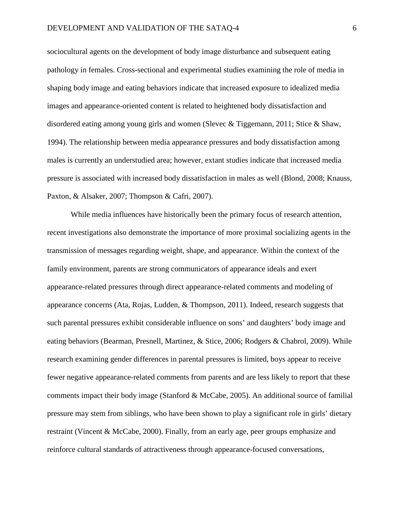sociocultural agents on the development of body image disturbance and subsequent eating pathology in females. Cross-sectional and experimental studies examining the role of media in shaping body image and eating behaviors indicate that increased exposure to idealized media images and appearance-oriented content is related to heightened body dissatisfaction and disordered eating among young girls and women (Slevec & Tiggemann, 2011; Stice & Shaw, 1994). The relationship between media appearance pressures and body dissatisfaction among males is currently an understudied area; however, extant studies indicate that increased media pressure is associated with increased body dissatisfaction in males as well (Blond, 2008; Knauss, Paxton, & Alsaker, 2007; Thompson & Cafri, 2007).

While media influences have historically been the primary focus of research attention, recent investigations also demonstrate the importance of more proximal socializing agents in the transmission of messages regarding weight, shape, and appearance. Within the context of the family environment, parents are strong communicators of appearance ideals and exert appearance-related pressures through direct appearance-related comments and modeling of appearance concerns (Ata, Rojas, Ludden, & Thompson, 2011). Indeed, research suggests that such parental pressures exhibit considerable influence on sons' and daughters' body image and eating behaviors (Bearman, Presnell, Martinez, & Stice, 2006; Rodgers & Chabrol, 2009). While research examining gender differences in parental pressures is limited, boys appear to receive fewer negative appearance-related comments from parents and are less likely to report that these comments impact their body image (Stanford & McCabe, 2005). An additional source of familial pressure may stem from siblings, who have been shown to play a significant role in girls' dietary restraint (Vincent & McCabe, 2000). Finally, from an early age, peer groups emphasize and reinforce cultural standards of attractiveness through appearance-focused conversations,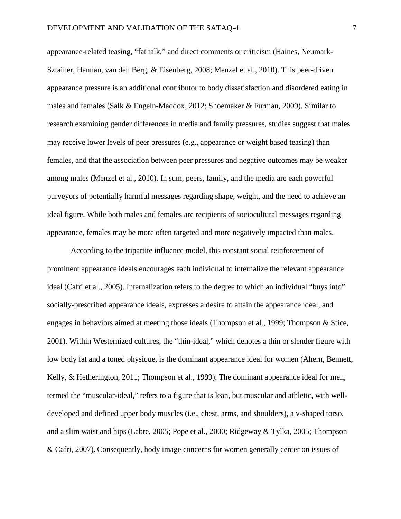appearance-related teasing, "fat talk," and direct comments or criticism (Haines, Neumark-Sztainer, Hannan, van den Berg, & Eisenberg, 2008; Menzel et al., 2010). This peer-driven appearance pressure is an additional contributor to body dissatisfaction and disordered eating in males and females (Salk & Engeln-Maddox, 2012; Shoemaker & Furman, 2009). Similar to research examining gender differences in media and family pressures, studies suggest that males may receive lower levels of peer pressures (e.g., appearance or weight based teasing) than females, and that the association between peer pressures and negative outcomes may be weaker among males (Menzel et al., 2010). In sum, peers, family, and the media are each powerful purveyors of potentially harmful messages regarding shape, weight, and the need to achieve an ideal figure. While both males and females are recipients of sociocultural messages regarding appearance, females may be more often targeted and more negatively impacted than males.

According to the tripartite influence model, this constant social reinforcement of prominent appearance ideals encourages each individual to internalize the relevant appearance ideal (Cafri et al., 2005). Internalization refers to the degree to which an individual "buys into" socially-prescribed appearance ideals, expresses a desire to attain the appearance ideal, and engages in behaviors aimed at meeting those ideals (Thompson et al., 1999; Thompson & Stice, 2001). Within Westernized cultures, the "thin-ideal," which denotes a thin or slender figure with low body fat and a toned physique, is the dominant appearance ideal for women (Ahern, Bennett, Kelly, & Hetherington, 2011; Thompson et al., 1999). The dominant appearance ideal for men, termed the "muscular-ideal," refers to a figure that is lean, but muscular and athletic, with welldeveloped and defined upper body muscles (i.e., chest, arms, and shoulders), a v-shaped torso, and a slim waist and hips (Labre, 2005; Pope et al., 2000; Ridgeway & Tylka, 2005; Thompson & Cafri, 2007). Consequently, body image concerns for women generally center on issues of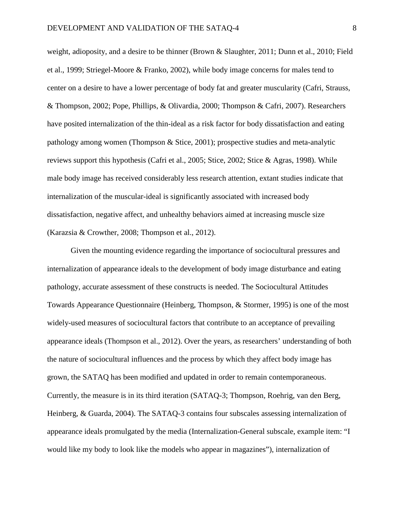weight, adioposity, and a desire to be thinner (Brown & Slaughter, 2011; Dunn et al., 2010; Field et al., 1999; Striegel-Moore & Franko, 2002), while body image concerns for males tend to center on a desire to have a lower percentage of body fat and greater muscularity (Cafri, Strauss, & Thompson, 2002; Pope, Phillips, & Olivardia, 2000; Thompson & Cafri, 2007). Researchers have posited internalization of the thin-ideal as a risk factor for body dissatisfaction and eating pathology among women (Thompson & Stice, 2001); prospective studies and meta-analytic reviews support this hypothesis (Cafri et al., 2005; Stice, 2002; Stice & Agras, 1998). While male body image has received considerably less research attention, extant studies indicate that internalization of the muscular-ideal is significantly associated with increased body dissatisfaction, negative affect, and unhealthy behaviors aimed at increasing muscle size (Karazsia & Crowther, 2008; Thompson et al., 2012).

Given the mounting evidence regarding the importance of sociocultural pressures and internalization of appearance ideals to the development of body image disturbance and eating pathology, accurate assessment of these constructs is needed. The Sociocultural Attitudes Towards Appearance Questionnaire (Heinberg, Thompson, & Stormer, 1995) is one of the most widely-used measures of sociocultural factors that contribute to an acceptance of prevailing appearance ideals (Thompson et al., 2012). Over the years, as researchers' understanding of both the nature of sociocultural influences and the process by which they affect body image has grown, the SATAQ has been modified and updated in order to remain contemporaneous. Currently, the measure is in its third iteration (SATAQ-3; Thompson, Roehrig, van den Berg, Heinberg, & Guarda, 2004). The SATAQ-3 contains four subscales assessing internalization of appearance ideals promulgated by the media (Internalization-General subscale, example item: "I would like my body to look like the models who appear in magazines"), internalization of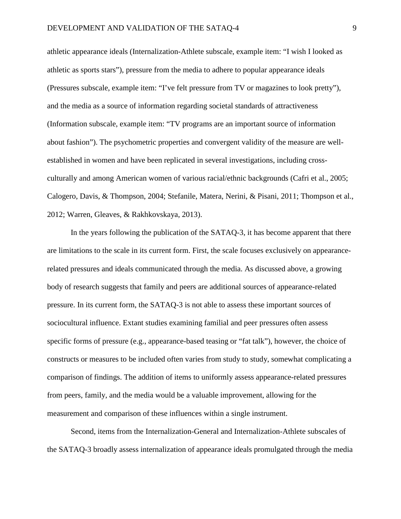athletic appearance ideals (Internalization-Athlete subscale, example item: "I wish I looked as athletic as sports stars"), pressure from the media to adhere to popular appearance ideals (Pressures subscale, example item: "I've felt pressure from TV or magazines to look pretty"), and the media as a source of information regarding societal standards of attractiveness (Information subscale, example item: "TV programs are an important source of information about fashion"). The psychometric properties and convergent validity of the measure are wellestablished in women and have been replicated in several investigations, including crossculturally and among American women of various racial/ethnic backgrounds (Cafri et al., 2005; Calogero, Davis, & Thompson, 2004; Stefanile, Matera, Nerini, & Pisani, 2011; Thompson et al., 2012; Warren, Gleaves, & Rakhkovskaya, 2013).

In the years following the publication of the SATAQ-3, it has become apparent that there are limitations to the scale in its current form. First, the scale focuses exclusively on appearancerelated pressures and ideals communicated through the media. As discussed above, a growing body of research suggests that family and peers are additional sources of appearance-related pressure. In its current form, the SATAQ-3 is not able to assess these important sources of sociocultural influence. Extant studies examining familial and peer pressures often assess specific forms of pressure (e.g., appearance-based teasing or "fat talk"), however, the choice of constructs or measures to be included often varies from study to study, somewhat complicating a comparison of findings. The addition of items to uniformly assess appearance-related pressures from peers, family, and the media would be a valuable improvement, allowing for the measurement and comparison of these influences within a single instrument.

Second, items from the Internalization-General and Internalization-Athlete subscales of the SATAQ-3 broadly assess internalization of appearance ideals promulgated through the media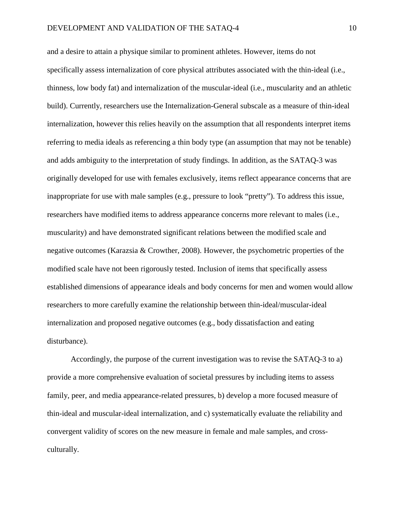and a desire to attain a physique similar to prominent athletes. However, items do not specifically assess internalization of core physical attributes associated with the thin-ideal (i.e., thinness, low body fat) and internalization of the muscular-ideal (i.e., muscularity and an athletic build). Currently, researchers use the Internalization-General subscale as a measure of thin-ideal internalization, however this relies heavily on the assumption that all respondents interpret items referring to media ideals as referencing a thin body type (an assumption that may not be tenable) and adds ambiguity to the interpretation of study findings. In addition, as the SATAQ-3 was originally developed for use with females exclusively, items reflect appearance concerns that are inappropriate for use with male samples (e.g., pressure to look "pretty"). To address this issue, researchers have modified items to address appearance concerns more relevant to males (i.e., muscularity) and have demonstrated significant relations between the modified scale and negative outcomes (Karazsia & Crowther, 2008). However, the psychometric properties of the modified scale have not been rigorously tested. Inclusion of items that specifically assess established dimensions of appearance ideals and body concerns for men and women would allow researchers to more carefully examine the relationship between thin-ideal/muscular-ideal internalization and proposed negative outcomes (e.g., body dissatisfaction and eating disturbance).

Accordingly, the purpose of the current investigation was to revise the SATAQ-3 to a) provide a more comprehensive evaluation of societal pressures by including items to assess family, peer, and media appearance-related pressures, b) develop a more focused measure of thin-ideal and muscular-ideal internalization, and c) systematically evaluate the reliability and convergent validity of scores on the new measure in female and male samples, and crossculturally.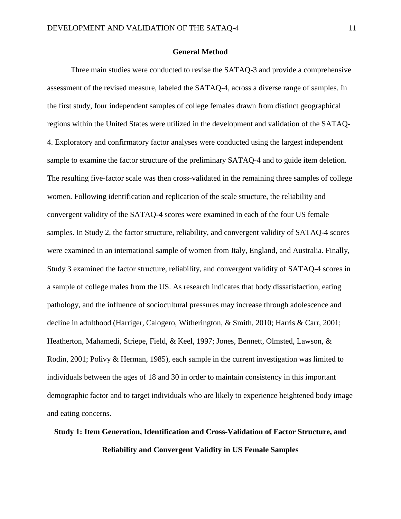#### **General Method**

Three main studies were conducted to revise the SATAQ-3 and provide a comprehensive assessment of the revised measure, labeled the SATAQ-4, across a diverse range of samples. In the first study, four independent samples of college females drawn from distinct geographical regions within the United States were utilized in the development and validation of the SATAQ-4. Exploratory and confirmatory factor analyses were conducted using the largest independent sample to examine the factor structure of the preliminary SATAQ-4 and to guide item deletion. The resulting five-factor scale was then cross-validated in the remaining three samples of college women. Following identification and replication of the scale structure, the reliability and convergent validity of the SATAQ-4 scores were examined in each of the four US female samples. In Study 2, the factor structure, reliability, and convergent validity of SATAQ-4 scores were examined in an international sample of women from Italy, England, and Australia. Finally, Study 3 examined the factor structure, reliability, and convergent validity of SATAQ-4 scores in a sample of college males from the US. As research indicates that body dissatisfaction, eating pathology, and the influence of sociocultural pressures may increase through adolescence and decline in adulthood (Harriger, Calogero, Witherington, & Smith, 2010; Harris & Carr, 2001; Heatherton, Mahamedi, Striepe, Field, & Keel, 1997; Jones, Bennett, Olmsted, Lawson, & Rodin, 2001; Polivy & Herman, 1985), each sample in the current investigation was limited to individuals between the ages of 18 and 30 in order to maintain consistency in this important demographic factor and to target individuals who are likely to experience heightened body image and eating concerns.

# **Study 1: Item Generation, Identification and Cross-Validation of Factor Structure, and Reliability and Convergent Validity in US Female Samples**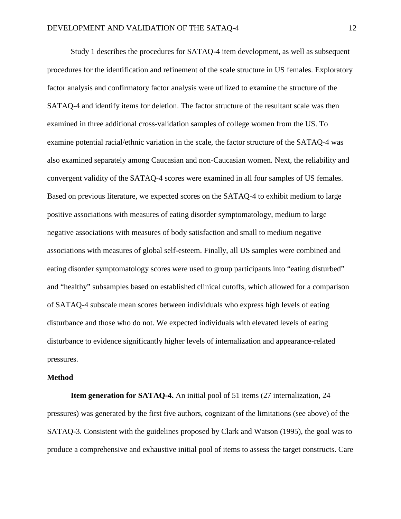Study 1 describes the procedures for SATAQ-4 item development, as well as subsequent procedures for the identification and refinement of the scale structure in US females. Exploratory factor analysis and confirmatory factor analysis were utilized to examine the structure of the SATAQ-4 and identify items for deletion. The factor structure of the resultant scale was then examined in three additional cross-validation samples of college women from the US. To examine potential racial/ethnic variation in the scale, the factor structure of the SATAQ-4 was also examined separately among Caucasian and non-Caucasian women. Next, the reliability and convergent validity of the SATAQ-4 scores were examined in all four samples of US females. Based on previous literature, we expected scores on the SATAQ-4 to exhibit medium to large positive associations with measures of eating disorder symptomatology, medium to large negative associations with measures of body satisfaction and small to medium negative associations with measures of global self-esteem. Finally, all US samples were combined and eating disorder symptomatology scores were used to group participants into "eating disturbed" and "healthy" subsamples based on established clinical cutoffs, which allowed for a comparison of SATAQ-4 subscale mean scores between individuals who express high levels of eating disturbance and those who do not. We expected individuals with elevated levels of eating disturbance to evidence significantly higher levels of internalization and appearance-related pressures.

#### **Method**

**Item generation for SATAQ-4.** An initial pool of 51 items (27 internalization, 24 pressures) was generated by the first five authors, cognizant of the limitations (see above) of the SATAQ-3. Consistent with the guidelines proposed by Clark and Watson (1995), the goal was to produce a comprehensive and exhaustive initial pool of items to assess the target constructs. Care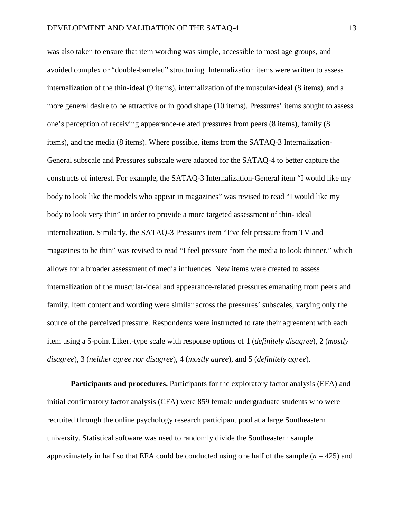was also taken to ensure that item wording was simple, accessible to most age groups, and avoided complex or "double-barreled" structuring. Internalization items were written to assess internalization of the thin-ideal (9 items), internalization of the muscular-ideal (8 items), and a more general desire to be attractive or in good shape (10 items). Pressures' items sought to assess one's perception of receiving appearance-related pressures from peers (8 items), family (8 items), and the media (8 items). Where possible, items from the SATAQ-3 Internalization-General subscale and Pressures subscale were adapted for the SATAQ-4 to better capture the constructs of interest. For example, the SATAQ-3 Internalization-General item "I would like my body to look like the models who appear in magazines" was revised to read "I would like my body to look very thin" in order to provide a more targeted assessment of thin- ideal internalization. Similarly, the SATAQ-3 Pressures item "I've felt pressure from TV and magazines to be thin" was revised to read "I feel pressure from the media to look thinner," which allows for a broader assessment of media influences. New items were created to assess internalization of the muscular-ideal and appearance-related pressures emanating from peers and family. Item content and wording were similar across the pressures' subscales, varying only the source of the perceived pressure. Respondents were instructed to rate their agreement with each item using a 5-point Likert-type scale with response options of 1 (*definitely disagree*), 2 (*mostly disagree*), 3 (*neither agree nor disagree*), 4 (*mostly agree*), and 5 (*definitely agree*).

**Participants and procedures.** Participants for the exploratory factor analysis (EFA) and initial confirmatory factor analysis (CFA) were 859 female undergraduate students who were recruited through the online psychology research participant pool at a large Southeastern university. Statistical software was used to randomly divide the Southeastern sample approximately in half so that EFA could be conducted using one half of the sample (*n* = 425) and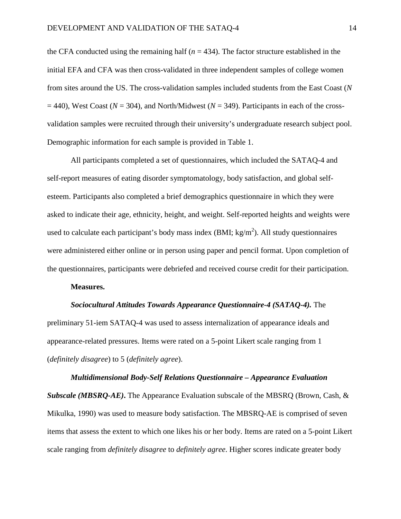the CFA conducted using the remaining half  $(n = 434)$ . The factor structure established in the initial EFA and CFA was then cross-validated in three independent samples of college women from sites around the US. The cross-validation samples included students from the East Coast (*N*  $= 440$ ), West Coast ( $N = 304$ ), and North/Midwest ( $N = 349$ ). Participants in each of the crossvalidation samples were recruited through their university's undergraduate research subject pool. Demographic information for each sample is provided in Table 1.

All participants completed a set of questionnaires, which included the SATAQ-4 and self-report measures of eating disorder symptomatology, body satisfaction, and global selfesteem. Participants also completed a brief demographics questionnaire in which they were asked to indicate their age, ethnicity, height, and weight. Self-reported heights and weights were used to calculate each participant's body mass index (BMI;  $kg/m<sup>2</sup>$ ). All study questionnaires were administered either online or in person using paper and pencil format. Upon completion of the questionnaires, participants were debriefed and received course credit for their participation.

#### **Measures.**

#### *Sociocultural Attitudes Towards Appearance Questionnaire-4 (SATAQ-4).* The

preliminary 51-iem SATAQ-4 was used to assess internalization of appearance ideals and appearance-related pressures. Items were rated on a 5-point Likert scale ranging from 1 (*definitely disagree*) to 5 (*definitely agree*).

*Multidimensional Body-Self Relations Questionnaire – Appearance Evaluation Subscale (MBSRQ-AE)***.** The Appearance Evaluation subscale of the MBSRQ (Brown, Cash, & Mikulka, 1990) was used to measure body satisfaction. The MBSRQ-AE is comprised of seven items that assess the extent to which one likes his or her body. Items are rated on a 5-point Likert scale ranging from *definitely disagree* to *definitely agree*. Higher scores indicate greater body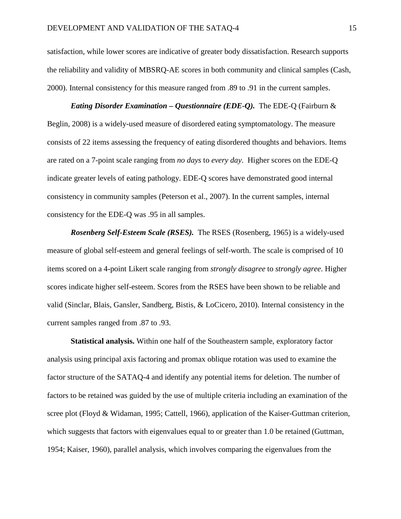satisfaction, while lower scores are indicative of greater body dissatisfaction. Research supports the reliability and validity of MBSRQ-AE scores in both community and clinical samples (Cash, 2000). Internal consistency for this measure ranged from .89 to .91 in the current samples.

*Eating Disorder Examination – Questionnaire (EDE-Q).*The EDE-Q (Fairburn & Beglin, 2008) is a widely-used measure of disordered eating symptomatology. The measure consists of 22 items assessing the frequency of eating disordered thoughts and behaviors. Items are rated on a 7-point scale ranging from *no days* to *every day*. Higher scores on the EDE-Q indicate greater levels of eating pathology. EDE-Q scores have demonstrated good internal consistency in community samples (Peterson et al., 2007). In the current samples, internal consistency for the EDE-Q was .95 in all samples.

*Rosenberg Self-Esteem Scale (RSES).* The RSES (Rosenberg, 1965) is a widely-used measure of global self-esteem and general feelings of self-worth. The scale is comprised of 10 items scored on a 4-point Likert scale ranging from *strongly disagree* to *strongly agree*. Higher scores indicate higher self-esteem. Scores from the RSES have been shown to be reliable and valid (Sinclar, Blais, Gansler, Sandberg, Bistis, & LoCicero, 2010). Internal consistency in the current samples ranged from .87 to .93.

**Statistical analysis.** Within one half of the Southeastern sample, exploratory factor analysis using principal axis factoring and promax oblique rotation was used to examine the factor structure of the SATAQ-4 and identify any potential items for deletion. The number of factors to be retained was guided by the use of multiple criteria including an examination of the scree plot (Floyd & Widaman, 1995; Cattell, 1966), application of the Kaiser-Guttman criterion, which suggests that factors with eigenvalues equal to or greater than 1.0 be retained (Guttman, 1954; Kaiser, 1960), parallel analysis, which involves comparing the eigenvalues from the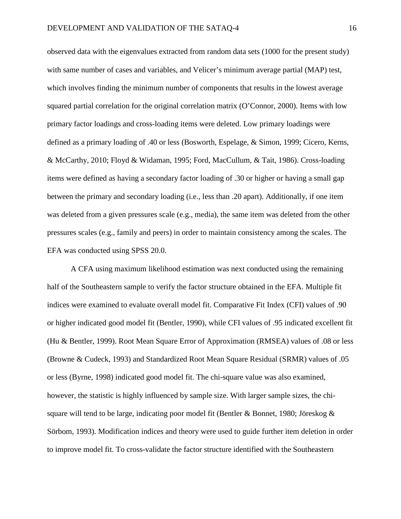observed data with the eigenvalues extracted from random data sets (1000 for the present study) with same number of cases and variables, and Velicer's minimum average partial (MAP) test, which involves finding the minimum number of components that results in the lowest average squared partial correlation for the original correlation matrix (O'Connor, 2000). Items with low primary factor loadings and cross-loading items were deleted. Low primary loadings were defined as a primary loading of .40 or less (Bosworth, Espelage, & Simon, 1999; Cicero, Kerns, & McCarthy, 2010; Floyd & Widaman, 1995; Ford, MacCullum, & Tait, 1986). Cross-loading items were defined as having a secondary factor loading of .30 or higher or having a small gap between the primary and secondary loading (i.e., less than .20 apart). Additionally, if one item was deleted from a given pressures scale (e.g., media), the same item was deleted from the other pressures scales (e.g., family and peers) in order to maintain consistency among the scales. The EFA was conducted using SPSS 20.0.

A CFA using maximum likelihood estimation was next conducted using the remaining half of the Southeastern sample to verify the factor structure obtained in the EFA. Multiple fit indices were examined to evaluate overall model fit. Comparative Fit Index (CFI) values of .90 or higher indicated good model fit (Bentler, 1990), while CFI values of .95 indicated excellent fit (Hu & Bentler, 1999). Root Mean Square Error of Approximation (RMSEA) values of .08 or less (Browne & Cudeck, 1993) and Standardized Root Mean Square Residual (SRMR) values of .05 or less (Byrne, 1998) indicated good model fit. The chi-square value was also examined, however, the statistic is highly influenced by sample size. With larger sample sizes, the chisquare will tend to be large, indicating poor model fit (Bentler & Bonnet, 1980; Jöreskog  $\&$ Sörbom, 1993). Modification indices and theory were used to guide further item deletion in order to improve model fit. To cross-validate the factor structure identified with the Southeastern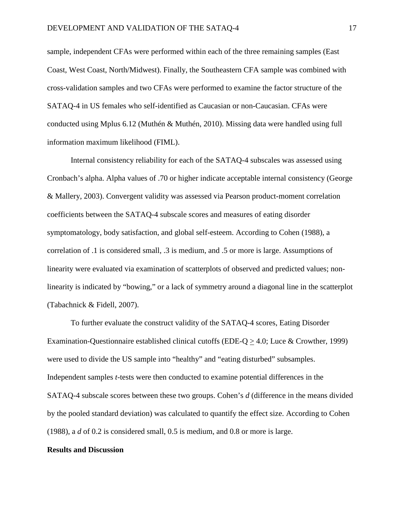sample, independent CFAs were performed within each of the three remaining samples (East Coast, West Coast, North/Midwest). Finally, the Southeastern CFA sample was combined with cross-validation samples and two CFAs were performed to examine the factor structure of the SATAQ-4 in US females who self-identified as Caucasian or non-Caucasian. CFAs were conducted using Mplus 6.12 (Muthén & Muthén, 2010). Missing data were handled using full information maximum likelihood (FIML).

Internal consistency reliability for each of the SATAQ-4 subscales was assessed using Cronbach's alpha. Alpha values of .70 or higher indicate acceptable internal consistency (George & Mallery, 2003). Convergent validity was assessed via Pearson product-moment correlation coefficients between the SATAQ-4 subscale scores and measures of eating disorder symptomatology, body satisfaction, and global self-esteem. According to Cohen (1988), a correlation of .1 is considered small, .3 is medium, and .5 or more is large. Assumptions of linearity were evaluated via examination of scatterplots of observed and predicted values; nonlinearity is indicated by "bowing," or a lack of symmetry around a diagonal line in the scatterplot (Tabachnick & Fidell, 2007).

To further evaluate the construct validity of the SATAQ-4 scores, Eating Disorder Examination-Questionnaire established clinical cutoffs (EDE-Q  $\geq$  4.0; Luce & Crowther, 1999) were used to divide the US sample into "healthy" and "eating disturbed" subsamples. Independent samples *t*-tests were then conducted to examine potential differences in the SATAQ-4 subscale scores between these two groups. Cohen's *d* (difference in the means divided by the pooled standard deviation) was calculated to quantify the effect size. According to Cohen (1988), a *d* of 0.2 is considered small, 0.5 is medium, and 0.8 or more is large.

#### **Results and Discussion**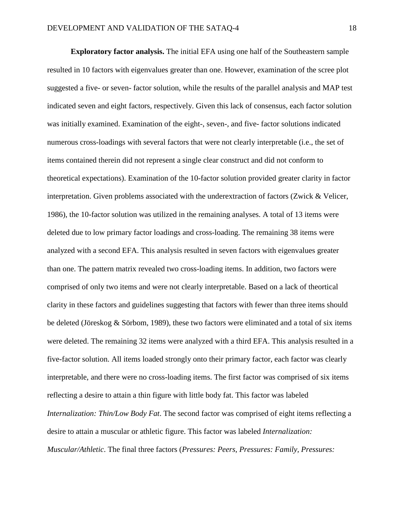**Exploratory factor analysis.** The initial EFA using one half of the Southeastern sample resulted in 10 factors with eigenvalues greater than one. However, examination of the scree plot suggested a five- or seven- factor solution, while the results of the parallel analysis and MAP test indicated seven and eight factors, respectively. Given this lack of consensus, each factor solution was initially examined. Examination of the eight-, seven-, and five- factor solutions indicated numerous cross-loadings with several factors that were not clearly interpretable (i.e., the set of items contained therein did not represent a single clear construct and did not conform to theoretical expectations). Examination of the 10-factor solution provided greater clarity in factor interpretation. Given problems associated with the underextraction of factors (Zwick & Velicer, 1986), the 10-factor solution was utilized in the remaining analyses. A total of 13 items were deleted due to low primary factor loadings and cross-loading. The remaining 38 items were analyzed with a second EFA. This analysis resulted in seven factors with eigenvalues greater than one. The pattern matrix revealed two cross-loading items. In addition, two factors were comprised of only two items and were not clearly interpretable. Based on a lack of theortical clarity in these factors and guidelines suggesting that factors with fewer than three items should be deleted (Jöreskog & Sörbom, 1989), these two factors were eliminated and a total of six items were deleted. The remaining 32 items were analyzed with a third EFA. This analysis resulted in a five-factor solution. All items loaded strongly onto their primary factor, each factor was clearly interpretable, and there were no cross-loading items. The first factor was comprised of six items reflecting a desire to attain a thin figure with little body fat. This factor was labeled *Internalization: Thin/Low Body Fat*. The second factor was comprised of eight items reflecting a desire to attain a muscular or athletic figure. This factor was labeled *Internalization: Muscular/Athletic*. The final three factors (*Pressures: Peers, Pressures: Family, Pressures:*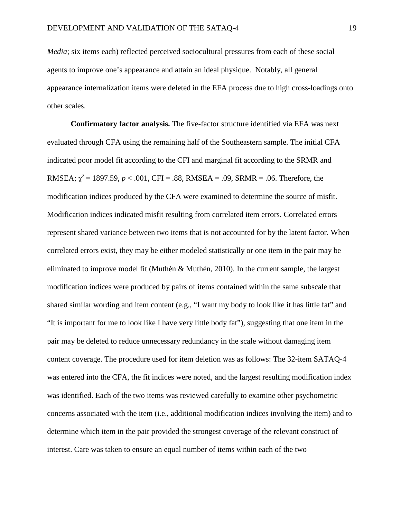*Media*; six items each) reflected perceived sociocultural pressures from each of these social agents to improve one's appearance and attain an ideal physique. Notably, all general appearance internalization items were deleted in the EFA process due to high cross-loadings onto other scales.

**Confirmatory factor analysis.** The five-factor structure identified via EFA was next evaluated through CFA using the remaining half of the Southeastern sample. The initial CFA indicated poor model fit according to the CFI and marginal fit according to the SRMR and RMSEA;  $\chi^2$  = 1897.59, *p* < .001, CFI = .88, RMSEA = .09, SRMR = .06. Therefore, the modification indices produced by the CFA were examined to determine the source of misfit. Modification indices indicated misfit resulting from correlated item errors. Correlated errors represent shared variance between two items that is not accounted for by the latent factor. When correlated errors exist, they may be either modeled statistically or one item in the pair may be eliminated to improve model fit (Muthén & Muthén, 2010). In the current sample, the largest modification indices were produced by pairs of items contained within the same subscale that shared similar wording and item content (e.g., "I want my body to look like it has little fat" and "It is important for me to look like I have very little body fat"), suggesting that one item in the pair may be deleted to reduce unnecessary redundancy in the scale without damaging item content coverage. The procedure used for item deletion was as follows: The 32-item SATAQ-4 was entered into the CFA, the fit indices were noted, and the largest resulting modification index was identified. Each of the two items was reviewed carefully to examine other psychometric concerns associated with the item (i.e., additional modification indices involving the item) and to determine which item in the pair provided the strongest coverage of the relevant construct of interest. Care was taken to ensure an equal number of items within each of the two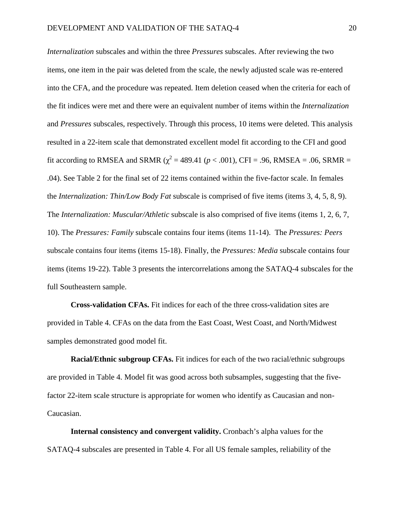*Internalization* subscales and within the three *Pressures* subscales. After reviewing the two items, one item in the pair was deleted from the scale, the newly adjusted scale was re-entered into the CFA, and the procedure was repeated. Item deletion ceased when the criteria for each of the fit indices were met and there were an equivalent number of items within the *Internalization* and *Pressures* subscales, respectively. Through this process, 10 items were deleted. This analysis resulted in a 22-item scale that demonstrated excellent model fit according to the CFI and good fit according to RMSEA and SRMR ( $\chi^2$  = 489.41 (*p* < .001), CFI = .96, RMSEA = .06, SRMR = .04). See Table 2 for the final set of 22 items contained within the five-factor scale. In females the *Internalization: Thin/Low Body Fat* subscale is comprised of five items (items 3, 4, 5, 8, 9). The *Internalization: Muscular/Athletic* subscale is also comprised of five items (items 1, 2, 6, 7, 10). The *Pressures: Family* subscale contains four items (items 11-14). The *Pressures: Peers* subscale contains four items (items 15-18). Finally, the *Pressures: Media* subscale contains four items (items 19-22). Table 3 presents the intercorrelations among the SATAQ-4 subscales for the full Southeastern sample.

**Cross-validation CFAs.** Fit indices for each of the three cross-validation sites are provided in Table 4. CFAs on the data from the East Coast, West Coast, and North/Midwest samples demonstrated good model fit.

**Racial/Ethnic subgroup CFAs.** Fit indices for each of the two racial/ethnic subgroups are provided in Table 4. Model fit was good across both subsamples, suggesting that the fivefactor 22-item scale structure is appropriate for women who identify as Caucasian and non-Caucasian.

**Internal consistency and convergent validity.** Cronbach's alpha values for the SATAQ-4 subscales are presented in Table 4. For all US female samples, reliability of the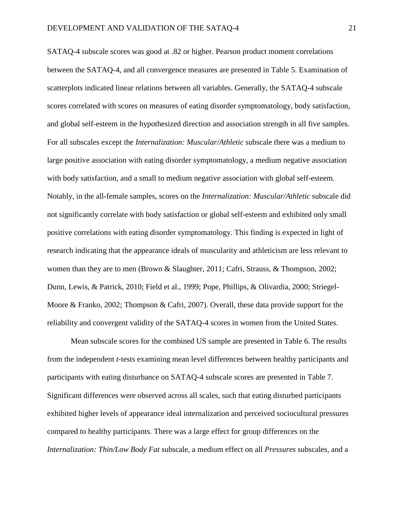SATAQ-4 subscale scores was good at .82 or higher. Pearson product moment correlations between the SATAQ-4, and all convergence measures are presented in Table 5. Examination of scatterplots indicated linear relations between all variables. Generally, the SATAQ-4 subscale scores correlated with scores on measures of eating disorder symptomatology, body satisfaction, and global self-esteem in the hypothesized direction and association strength in all five samples. For all subscales except the *Internalization: Muscular/Athletic* subscale there was a medium to large positive association with eating disorder symptomatology, a medium negative association with body satisfaction, and a small to medium negative association with global self-esteem. Notably, in the all-female samples, scores on the *Internalization: Muscular/Athletic* subscale did not significantly correlate with body satisfaction or global self-esteem and exhibited only small positive correlations with eating disorder symptomatology. This finding is expected in light of research indicating that the appearance ideals of muscularity and athleticism are less relevant to women than they are to men (Brown & Slaughter, 2011; Cafri, Strauss, & Thompson, 2002; Dunn, Lewis, & Patrick, 2010; Field et al., 1999; Pope, Phillips, & Olivardia, 2000; Striegel-Moore & Franko, 2002; Thompson & Cafri, 2007). Overall, these data provide support for the reliability and convergent validity of the SATAQ-4 scores in women from the United States.

Mean subscale scores for the combined US sample are presented in Table 6. The results from the independent *t*-tests examining mean level differences between healthy participants and participants with eating disturbance on SATAQ-4 subscale scores are presented in Table 7. Significant differences were observed across all scales, such that eating disturbed participants exhibited higher levels of appearance ideal internalization and perceived sociocultural pressures compared to healthy participants. There was a large effect for group differences on the *Internalization: Thin/Low Body Fat* subscale, a medium effect on all *Pressures* subscales, and a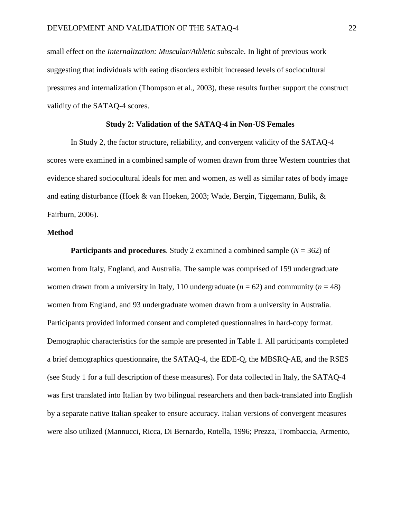small effect on the *Internalization: Muscular/Athletic* subscale. In light of previous work suggesting that individuals with eating disorders exhibit increased levels of sociocultural pressures and internalization (Thompson et al., 2003), these results further support the construct validity of the SATAQ-4 scores.

### **Study 2: Validation of the SATAQ-4 in Non-US Females**

In Study 2, the factor structure, reliability, and convergent validity of the SATAQ-4 scores were examined in a combined sample of women drawn from three Western countries that evidence shared sociocultural ideals for men and women, as well as similar rates of body image and eating disturbance (Hoek & van Hoeken, 2003; Wade, Bergin, Tiggemann, Bulik, & Fairburn, 2006).

#### **Method**

**Participants and procedures**. Study 2 examined a combined sample (*N* = 362) of women from Italy, England, and Australia. The sample was comprised of 159 undergraduate women drawn from a university in Italy, 110 undergraduate  $(n = 62)$  and community  $(n = 48)$ women from England, and 93 undergraduate women drawn from a university in Australia. Participants provided informed consent and completed questionnaires in hard-copy format. Demographic characteristics for the sample are presented in Table 1. All participants completed a brief demographics questionnaire, the SATAQ-4, the EDE-Q, the MBSRQ-AE, and the RSES (see Study 1 for a full description of these measures). For data collected in Italy, the SATAQ-4 was first translated into Italian by two bilingual researchers and then back-translated into English by a separate native Italian speaker to ensure accuracy. Italian versions of convergent measures were also utilized (Mannucci, Ricca, Di Bernardo, Rotella, 1996; Prezza, Trombaccia, Armento,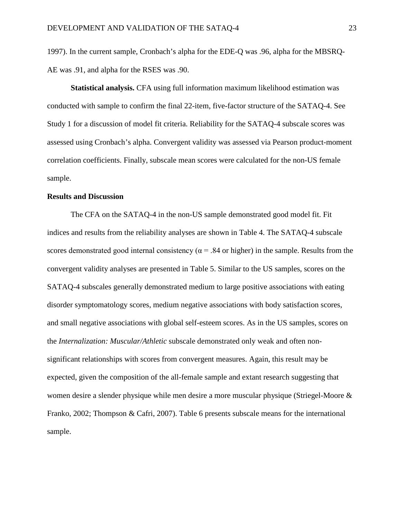1997). In the current sample, Cronbach's alpha for the EDE-Q was .96, alpha for the MBSRQ-AE was .91, and alpha for the RSES was .90.

**Statistical analysis.** CFA using full information maximum likelihood estimation was conducted with sample to confirm the final 22-item, five-factor structure of the SATAQ-4. See Study 1 for a discussion of model fit criteria. Reliability for the SATAQ-4 subscale scores was assessed using Cronbach's alpha. Convergent validity was assessed via Pearson product-moment correlation coefficients. Finally, subscale mean scores were calculated for the non-US female sample.

### **Results and Discussion**

The CFA on the SATAQ-4 in the non-US sample demonstrated good model fit. Fit indices and results from the reliability analyses are shown in Table 4. The SATAQ-4 subscale scores demonstrated good internal consistency ( $\alpha$  = .84 or higher) in the sample. Results from the convergent validity analyses are presented in Table 5. Similar to the US samples, scores on the SATAQ-4 subscales generally demonstrated medium to large positive associations with eating disorder symptomatology scores, medium negative associations with body satisfaction scores, and small negative associations with global self-esteem scores. As in the US samples, scores on the *Internalization: Muscular/Athletic* subscale demonstrated only weak and often nonsignificant relationships with scores from convergent measures. Again, this result may be expected, given the composition of the all-female sample and extant research suggesting that women desire a slender physique while men desire a more muscular physique (Striegel-Moore & Franko, 2002; Thompson & Cafri, 2007). Table 6 presents subscale means for the international sample.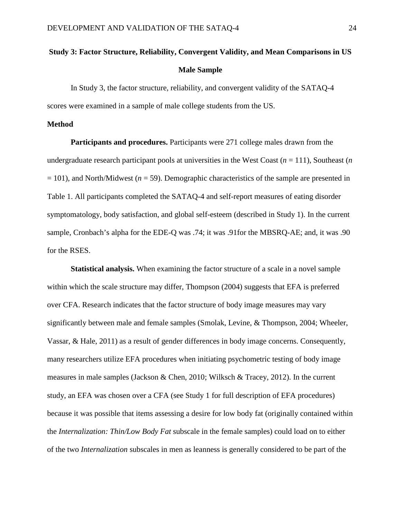# **Study 3: Factor Structure, Reliability, Convergent Validity, and Mean Comparisons in US Male Sample**

In Study 3, the factor structure, reliability, and convergent validity of the SATAQ-4 scores were examined in a sample of male college students from the US.

#### **Method**

**Participants and procedures.** Participants were 271 college males drawn from the undergraduate research participant pools at universities in the West Coast  $(n = 111)$ , Southeast  $(n)$ = 101), and North/Midwest (*n* = 59). Demographic characteristics of the sample are presented in Table 1. All participants completed the SATAQ-4 and self-report measures of eating disorder symptomatology, body satisfaction, and global self-esteem (described in Study 1). In the current sample, Cronbach's alpha for the EDE-Q was .74; it was .91for the MBSRQ-AE; and, it was .90 for the RSES.

**Statistical analysis.** When examining the factor structure of a scale in a novel sample within which the scale structure may differ, Thompson (2004) suggests that EFA is preferred over CFA. Research indicates that the factor structure of body image measures may vary significantly between male and female samples (Smolak, Levine, & Thompson, 2004; Wheeler, Vassar, & Hale, 2011) as a result of gender differences in body image concerns. Consequently, many researchers utilize EFA procedures when initiating psychometric testing of body image measures in male samples (Jackson & Chen, 2010; Wilksch & Tracey, 2012). In the current study, an EFA was chosen over a CFA (see Study 1 for full description of EFA procedures) because it was possible that items assessing a desire for low body fat (originally contained within the *Internalization: Thin/Low Body Fat* subscale in the female samples) could load on to either of the two *Internalization* subscales in men as leanness is generally considered to be part of the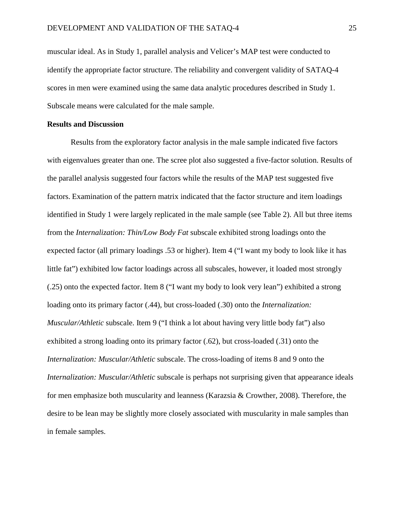muscular ideal. As in Study 1, parallel analysis and Velicer's MAP test were conducted to identify the appropriate factor structure. The reliability and convergent validity of SATAQ-4 scores in men were examined using the same data analytic procedures described in Study 1. Subscale means were calculated for the male sample.

#### **Results and Discussion**

Results from the exploratory factor analysis in the male sample indicated five factors with eigenvalues greater than one. The scree plot also suggested a five-factor solution. Results of the parallel analysis suggested four factors while the results of the MAP test suggested five factors. Examination of the pattern matrix indicated that the factor structure and item loadings identified in Study 1 were largely replicated in the male sample (see Table 2). All but three items from the *Internalization: Thin/Low Body Fat* subscale exhibited strong loadings onto the expected factor (all primary loadings .53 or higher). Item 4 ("I want my body to look like it has little fat") exhibited low factor loadings across all subscales, however, it loaded most strongly (.25) onto the expected factor. Item 8 ("I want my body to look very lean") exhibited a strong loading onto its primary factor (.44), but cross-loaded (.30) onto the *Internalization: Muscular/Athletic* subscale. Item 9 ("I think a lot about having very little body fat") also exhibited a strong loading onto its primary factor (.62), but cross-loaded (.31) onto the *Internalization: Muscular/Athletic* subscale. The cross-loading of items 8 and 9 onto the *Internalization: Muscular/Athletic* subscale is perhaps not surprising given that appearance ideals for men emphasize both muscularity and leanness (Karazsia & Crowther, 2008). Therefore, the desire to be lean may be slightly more closely associated with muscularity in male samples than in female samples.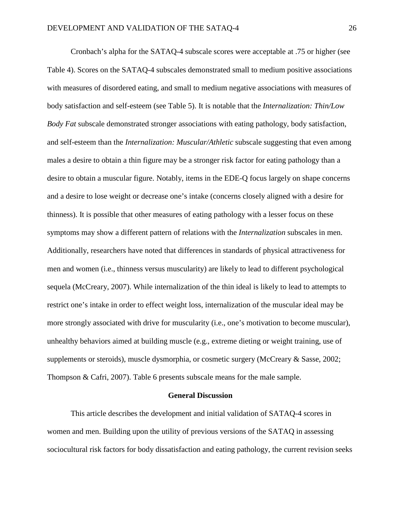Cronbach's alpha for the SATAQ-4 subscale scores were acceptable at .75 or higher (see Table 4). Scores on the SATAQ-4 subscales demonstrated small to medium positive associations with measures of disordered eating, and small to medium negative associations with measures of body satisfaction and self-esteem (see Table 5). It is notable that the *Internalization: Thin/Low Body Fat* subscale demonstrated stronger associations with eating pathology, body satisfaction, and self-esteem than the *Internalization: Muscular/Athletic* subscale suggesting that even among males a desire to obtain a thin figure may be a stronger risk factor for eating pathology than a desire to obtain a muscular figure. Notably, items in the EDE-Q focus largely on shape concerns and a desire to lose weight or decrease one's intake (concerns closely aligned with a desire for thinness). It is possible that other measures of eating pathology with a lesser focus on these symptoms may show a different pattern of relations with the *Internalization* subscales in men. Additionally, researchers have noted that differences in standards of physical attractiveness for men and women (i.e., thinness versus muscularity) are likely to lead to different psychological sequela (McCreary, 2007). While internalization of the thin ideal is likely to lead to attempts to restrict one's intake in order to effect weight loss, internalization of the muscular ideal may be more strongly associated with drive for muscularity (i.e., one's motivation to become muscular), unhealthy behaviors aimed at building muscle (e.g., extreme dieting or weight training, use of supplements or steroids), muscle dysmorphia, or cosmetic surgery (McCreary & Sasse, 2002; Thompson & Cafri, 2007). Table 6 presents subscale means for the male sample.

#### **General Discussion**

This article describes the development and initial validation of SATAQ-4 scores in women and men. Building upon the utility of previous versions of the SATAQ in assessing sociocultural risk factors for body dissatisfaction and eating pathology, the current revision seeks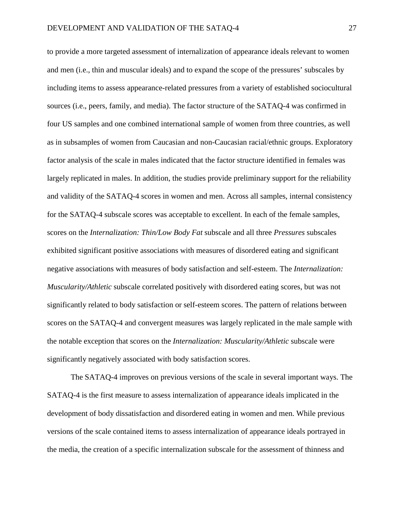to provide a more targeted assessment of internalization of appearance ideals relevant to women and men (i.e., thin and muscular ideals) and to expand the scope of the pressures' subscales by including items to assess appearance-related pressures from a variety of established sociocultural sources (i.e., peers, family, and media). The factor structure of the SATAQ-4 was confirmed in four US samples and one combined international sample of women from three countries, as well as in subsamples of women from Caucasian and non-Caucasian racial/ethnic groups. Exploratory factor analysis of the scale in males indicated that the factor structure identified in females was largely replicated in males. In addition, the studies provide preliminary support for the reliability and validity of the SATAQ-4 scores in women and men. Across all samples, internal consistency for the SATAQ-4 subscale scores was acceptable to excellent. In each of the female samples, scores on the *Internalization: Thin/Low Body Fat* subscale and all three *Pressures* subscales exhibited significant positive associations with measures of disordered eating and significant negative associations with measures of body satisfaction and self-esteem. The *Internalization: Muscularity/Athletic* subscale correlated positively with disordered eating scores, but was not significantly related to body satisfaction or self-esteem scores. The pattern of relations between scores on the SATAQ-4 and convergent measures was largely replicated in the male sample with the notable exception that scores on the *Internalization: Muscularity/Athletic* subscale were significantly negatively associated with body satisfaction scores.

The SATAQ-4 improves on previous versions of the scale in several important ways. The SATAQ-4 is the first measure to assess internalization of appearance ideals implicated in the development of body dissatisfaction and disordered eating in women and men. While previous versions of the scale contained items to assess internalization of appearance ideals portrayed in the media, the creation of a specific internalization subscale for the assessment of thinness and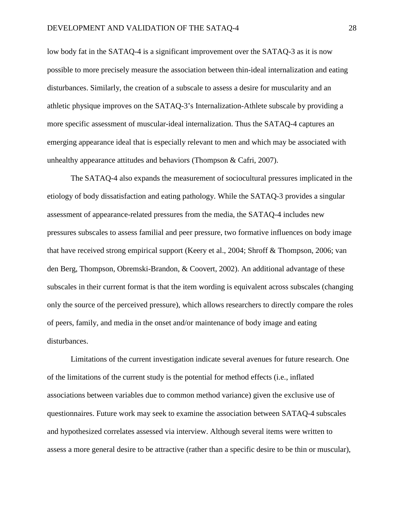low body fat in the SATAQ-4 is a significant improvement over the SATAQ-3 as it is now possible to more precisely measure the association between thin-ideal internalization and eating disturbances. Similarly, the creation of a subscale to assess a desire for muscularity and an athletic physique improves on the SATAQ-3's Internalization-Athlete subscale by providing a more specific assessment of muscular-ideal internalization. Thus the SATAQ-4 captures an emerging appearance ideal that is especially relevant to men and which may be associated with unhealthy appearance attitudes and behaviors (Thompson & Cafri, 2007).

The SATAQ-4 also expands the measurement of sociocultural pressures implicated in the etiology of body dissatisfaction and eating pathology. While the SATAQ-3 provides a singular assessment of appearance-related pressures from the media, the SATAQ-4 includes new pressures subscales to assess familial and peer pressure, two formative influences on body image that have received strong empirical support (Keery et al., 2004; Shroff & Thompson, 2006; van den Berg, Thompson, Obremski-Brandon, & Coovert, 2002). An additional advantage of these subscales in their current format is that the item wording is equivalent across subscales (changing only the source of the perceived pressure), which allows researchers to directly compare the roles of peers, family, and media in the onset and/or maintenance of body image and eating disturbances.

Limitations of the current investigation indicate several avenues for future research. One of the limitations of the current study is the potential for method effects (i.e., inflated associations between variables due to common method variance) given the exclusive use of questionnaires. Future work may seek to examine the association between SATAQ-4 subscales and hypothesized correlates assessed via interview. Although several items were written to assess a more general desire to be attractive (rather than a specific desire to be thin or muscular),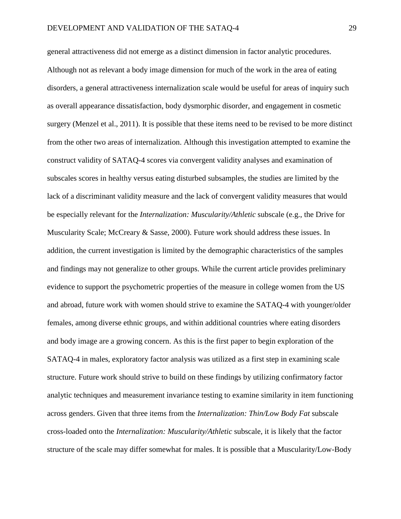general attractiveness did not emerge as a distinct dimension in factor analytic procedures. Although not as relevant a body image dimension for much of the work in the area of eating disorders, a general attractiveness internalization scale would be useful for areas of inquiry such as overall appearance dissatisfaction, body dysmorphic disorder, and engagement in cosmetic surgery (Menzel et al., 2011). It is possible that these items need to be revised to be more distinct from the other two areas of internalization. Although this investigation attempted to examine the construct validity of SATAQ-4 scores via convergent validity analyses and examination of subscales scores in healthy versus eating disturbed subsamples, the studies are limited by the lack of a discriminant validity measure and the lack of convergent validity measures that would be especially relevant for the *Internalization: Muscularity/Athletic* subscale (e.g., the Drive for Muscularity Scale; McCreary & Sasse, 2000). Future work should address these issues. In addition, the current investigation is limited by the demographic characteristics of the samples and findings may not generalize to other groups. While the current article provides preliminary evidence to support the psychometric properties of the measure in college women from the US and abroad, future work with women should strive to examine the SATAQ-4 with younger/older females, among diverse ethnic groups, and within additional countries where eating disorders and body image are a growing concern. As this is the first paper to begin exploration of the SATAQ-4 in males, exploratory factor analysis was utilized as a first step in examining scale structure. Future work should strive to build on these findings by utilizing confirmatory factor analytic techniques and measurement invariance testing to examine similarity in item functioning across genders. Given that three items from the *Internalization: Thin/Low Body Fat* subscale cross-loaded onto the *Internalization: Muscularity/Athletic* subscale, it is likely that the factor structure of the scale may differ somewhat for males. It is possible that a Muscularity/Low-Body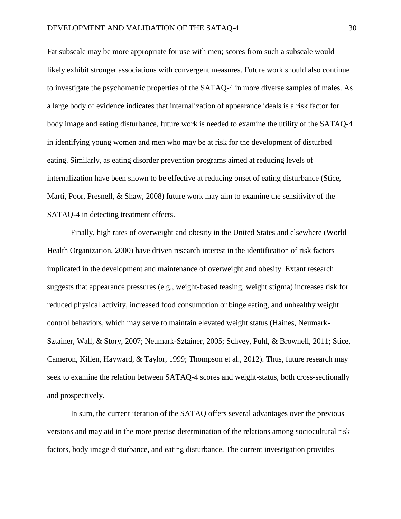Fat subscale may be more appropriate for use with men; scores from such a subscale would likely exhibit stronger associations with convergent measures. Future work should also continue to investigate the psychometric properties of the SATAQ-4 in more diverse samples of males. As a large body of evidence indicates that internalization of appearance ideals is a risk factor for body image and eating disturbance, future work is needed to examine the utility of the SATAQ-4 in identifying young women and men who may be at risk for the development of disturbed eating. Similarly, as eating disorder prevention programs aimed at reducing levels of internalization have been shown to be effective at reducing onset of eating disturbance (Stice, Marti, Poor, Presnell, & Shaw, 2008) future work may aim to examine the sensitivity of the SATAQ-4 in detecting treatment effects.

Finally, high rates of overweight and obesity in the United States and elsewhere (World Health Organization, 2000) have driven research interest in the identification of risk factors implicated in the development and maintenance of overweight and obesity. Extant research suggests that appearance pressures (e.g., weight-based teasing, weight stigma) increases risk for reduced physical activity, increased food consumption or binge eating, and unhealthy weight control behaviors, which may serve to maintain elevated weight status (Haines, Neumark-Sztainer, Wall, & Story, 2007; Neumark-Sztainer, 2005; Schvey, Puhl, & Brownell, 2011; Stice, Cameron, Killen, Hayward, & Taylor, 1999; Thompson et al., 2012). Thus, future research may seek to examine the relation between SATAQ-4 scores and weight-status, both cross-sectionally and prospectively.

In sum, the current iteration of the SATAQ offers several advantages over the previous versions and may aid in the more precise determination of the relations among sociocultural risk factors, body image disturbance, and eating disturbance. The current investigation provides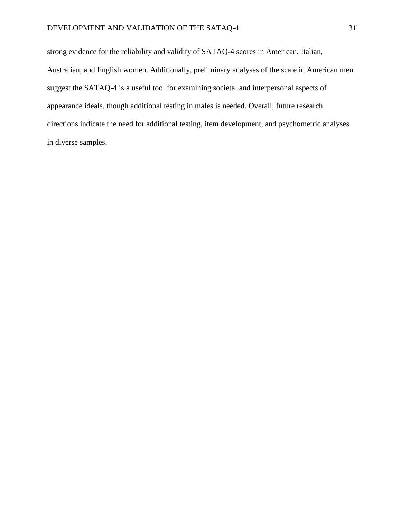strong evidence for the reliability and validity of SATAQ-4 scores in American, Italian, Australian, and English women. Additionally, preliminary analyses of the scale in American men suggest the SATAQ-4 is a useful tool for examining societal and interpersonal aspects of appearance ideals, though additional testing in males is needed. Overall, future research directions indicate the need for additional testing, item development, and psychometric analyses in diverse samples.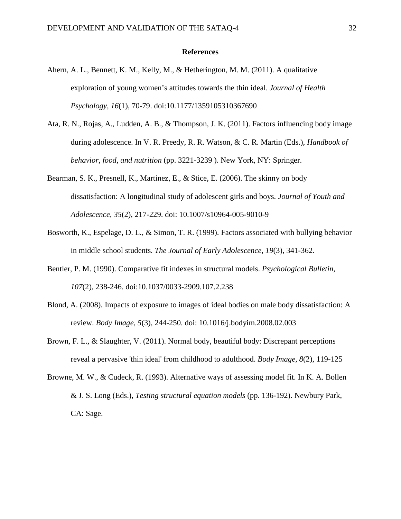#### **References**

- Ahern, A. L., Bennett, K. M., Kelly, M., & Hetherington, M. M. (2011). A qualitative exploration of young women's attitudes towards the thin ideal. *Journal of Health Psychology, 16*(1), 70-79. doi:10.1177/1359105310367690
- Ata, R. N., Rojas, A., Ludden, A. B., & Thompson, J. K. (2011). Factors influencing body image during adolescence. In V. R. Preedy, R. R. Watson, & C. R. Martin (Eds.), *Handbook of behavior, food, and nutrition* (pp. 3221-3239 ). New York, NY: Springer.
- Bearman, S. K., Presnell, K., Martinez, E., & Stice, E. (2006). The skinny on body dissatisfaction: A longitudinal study of adolescent girls and boys. *Journal of Youth and Adolescence, 35*(2), 217-229. doi: 10.1007/s10964-005-9010-9
- Bosworth, K., Espelage, D. L., & Simon, T. R. (1999). Factors associated with bullying behavior in middle school students. *The Journal of Early Adolescence, 19*(3), 341-362.
- Bentler, P. M. (1990). Comparative fit indexes in structural models. *Psychological Bulletin, 107*(2)*,* 238-246. doi:10.1037/0033-2909.107.2.238
- Blond, A. (2008). Impacts of exposure to images of ideal bodies on male body dissatisfaction: A review. *Body Image, 5*(3), 244-250. doi: 10.1016/j.bodyim.2008.02.003
- Brown, F. L., & Slaughter, V. (2011). Normal body, beautiful body: Discrepant perceptions reveal a pervasive 'thin ideal' from childhood to adulthood. *Body Image, 8*(2), 119-125
- Browne, M. W., & Cudeck, R. (1993). Alternative ways of assessing model fit. In K. A. Bollen & J. S. Long (Eds.), *Testing structural equation models* (pp. 136-192). Newbury Park, CA: Sage.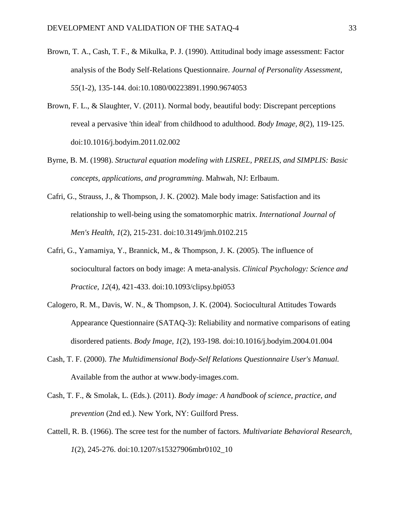- Brown, T. A., Cash, T. F., & Mikulka, P. J. (1990). Attitudinal body image assessment: Factor analysis of the Body Self-Relations Questionnaire. *Journal of Personality Assessment, 55*(1-2), 135-144. doi:10.1080/00223891.1990.9674053
- Brown, F. L., & Slaughter, V. (2011). Normal body, beautiful body: Discrepant perceptions reveal a pervasive 'thin ideal' from childhood to adulthood. *Body Image, 8*(2), 119-125. doi:10.1016/j.bodyim.2011.02.002
- Byrne, B. M. (1998). *Structural equation modeling with LISREL, PRELIS, and SIMPLIS: Basic concepts, applications, and programming*. Mahwah, NJ: Erlbaum.
- Cafri, G., Strauss, J., & Thompson, J. K. (2002). Male body image: Satisfaction and its relationship to well-being using the somatomorphic matrix. *International Journal of Men's Health, 1*(2), 215-231. doi:10.3149/jmh.0102.215
- Cafri, G., Yamamiya, Y., Brannick, M., & Thompson, J. K. (2005). The influence of sociocultural factors on body image: A meta-analysis. *Clinical Psychology: Science and Practice, 12*(4), 421-433. doi:10.1093/clipsy.bpi053
- Calogero, R. M., Davis, W. N., & Thompson, J. K. (2004). Sociocultural Attitudes Towards Appearance Questionnaire (SATAQ-3): Reliability and normative comparisons of eating disordered patients. *Body Image, 1*(2), 193-198. doi:10.1016/j.bodyim.2004.01.004
- Cash, T. F. (2000). *The Multidimensional Body-Self Relations Questionnaire User's Manual.* Available from the author at www.body-images.com.
- Cash, T. F., & Smolak, L. (Eds.). (2011). *Body image: A handbook of science, practice, and prevention* (2nd ed.). New York, NY: Guilford Press.
- Cattell, R. B. (1966). The scree test for the number of factors. *Multivariate Behavioral Research, 1*(2), 245-276. doi:10.1207/s15327906mbr0102\_10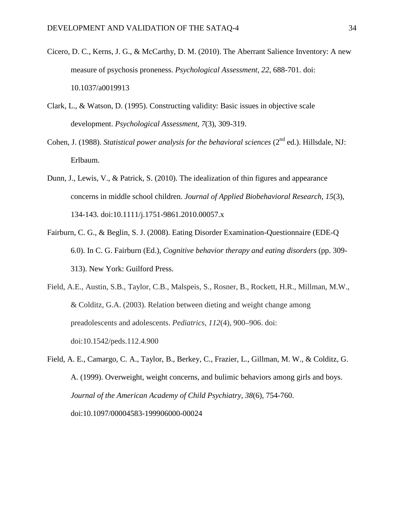- Cicero, D. C., Kerns, J. G., & McCarthy, D. M. (2010). The Aberrant Salience Inventory: A new measure of psychosis proneness. *Psychological Assessment, 22*, 688-701. doi: 10.1037/a0019913
- Clark, L., & Watson, D. (1995). Constructing validity: Basic issues in objective scale development. *Psychological Assessment, 7*(3), 309-319.
- Cohen, J. (1988). *Statistical power analysis for the behavioral sciences* (2<sup>nd</sup> ed.). Hillsdale, NJ: Erlbaum.
- Dunn, J., Lewis, V., & Patrick, S. (2010). The idealization of thin figures and appearance concerns in middle school children. *Journal of Applied Biobehavioral Research, 15*(3), 134-143. doi:10.1111/j.1751-9861.2010.00057.x
- Fairburn, C. G., & Beglin, S. J. (2008). Eating Disorder Examination-Questionnaire (EDE-Q 6.0). In C. G. Fairburn (Ed.), *Cognitive behavior therapy and eating disorders* (pp. 309- 313). New York: Guilford Press.
- Field, A.E., Austin, S.B., Taylor, C.B., Malspeis, S., Rosner, B., Rockett, H.R., Millman, M.W., & Colditz, G.A. (2003). Relation between dieting and weight change among preadolescents and adolescents. *Pediatrics, 112*(4), 900–906. doi: doi:10.1542/peds.112.4.900
- Field, A. E., Camargo, C. A., Taylor, B., Berkey, C., Frazier, L., Gillman, M. W., & Colditz, G. A. (1999). Overweight, weight concerns, and bulimic behaviors among girls and boys. *Journal of the American Academy of Child Psychiatry, 38*(6), 754-760. doi:10.1097/00004583-199906000-00024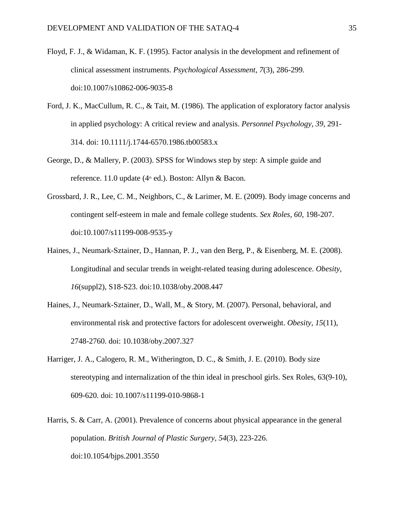- Floyd, F. J., & Widaman, K. F. (1995). Factor analysis in the development and refinement of clinical assessment instruments. *Psychological Assessment, 7*(3), 286-299. doi:10.1007/s10862-006-9035-8
- Ford, J. K., MacCullum, R. C., & Tait, M. (1986). The application of exploratory factor analysis in applied psychology: A critical review and analysis. *Personnel Psychology, 39*, 291- 314. doi: 10.1111/j.1744-6570.1986.tb00583.x
- George, D., & Mallery, P. (2003). SPSS for Windows step by step: A simple guide and reference. 11.0 update  $(4<sup>th</sup>$  ed.). Boston: Allyn & Bacon.
- Grossbard, J. R., Lee, C. M., Neighbors, C., & Larimer, M. E. (2009). Body image concerns and contingent self-esteem in male and female college students. *Sex Roles, 60*, 198-207. doi:10.1007/s11199-008-9535-y
- Haines, J., Neumark-Sztainer, D., Hannan, P. J., van den Berg, P., & Eisenberg, M. E. (2008). Longitudinal and secular trends in weight-related teasing during adolescence. *Obesity, 16*(suppl2), S18-S23. doi:10.1038/oby.2008.447
- Haines, J., Neumark-Sztainer, D., Wall, M., & Story, M. (2007). Personal, behavioral, and environmental risk and protective factors for adolescent overweight. *Obesity, 15*(11), 2748-2760. doi: 10.1038/oby.2007.327
- Harriger, J. A., Calogero, R. M., Witherington, D. C., & Smith, J. E. (2010). Body size stereotyping and internalization of the thin ideal in preschool girls. Sex Roles, 63(9-10), 609-620. doi: 10.1007/s11199-010-9868-1
- Harris, S. & Carr, A. (2001). Prevalence of concerns about physical appearance in the general population. *British Journal of Plastic Surgery, 54*(3), 223-226. doi:10.1054/bjps.2001.3550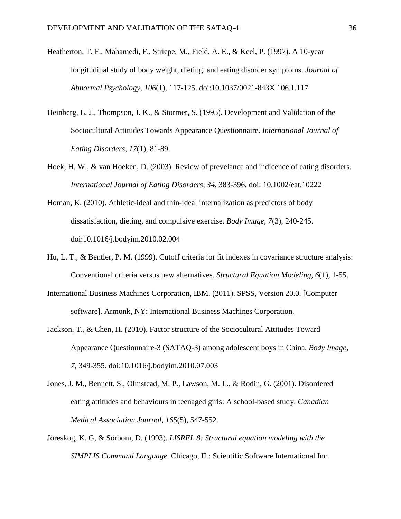- Heatherton, T. F., Mahamedi, F., Striepe, M., Field, A. E., & Keel, P. (1997). A 10-year longitudinal study of body weight, dieting, and eating disorder symptoms. *Journal of Abnormal Psychology, 106*(1)*,* 117-125. doi:10.1037/0021-843X.106.1.117
- Heinberg, L. J., Thompson, J. K., & Stormer, S. (1995). Development and Validation of the Sociocultural Attitudes Towards Appearance Questionnaire. *International Journal of Eating Disorders, 17*(1), 81-89.
- Hoek, H. W., & van Hoeken, D. (2003). Review of prevelance and indicence of eating disorders. *International Journal of Eating Disorders, 34*, 383-396. doi: 10.1002/eat.10222
- Homan, K. (2010). Athletic-ideal and thin-ideal internalization as predictors of body dissatisfaction, dieting, and compulsive exercise. *Body Image, 7*(3), 240-245. doi:10.1016/j.bodyim.2010.02.004
- Hu, L. T., & Bentler, P. M. (1999). Cutoff criteria for fit indexes in covariance structure analysis: Conventional criteria versus new alternatives. *Structural Equation Modeling, 6*(1), 1-55.
- International Business Machines Corporation, IBM. (2011). SPSS, Version 20.0. [Computer software]. Armonk, NY: International Business Machines Corporation.
- Jackson, T., & Chen, H. (2010). Factor structure of the Sociocultural Attitudes Toward Appearance Questionnaire-3 (SATAQ-3) among adolescent boys in China. *Body Image, 7*, 349-355. doi:10.1016/j.bodyim.2010.07.003
- Jones, J. M., Bennett, S., Olmstead, M. P., Lawson, M. L., & Rodin, G. (2001). Disordered eating attitudes and behaviours in teenaged girls: A school-based study. *Canadian Medical Association Journal, 165*(5), 547-552.
- Jöreskog, K. G, & Sörbom, D. (1993). *LISREL 8: Structural equation modeling with the SIMPLIS Command Language*. Chicago, IL: Scientific Software International Inc.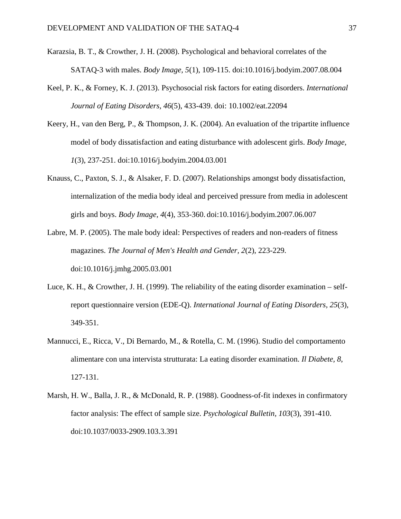- Karazsia, B. T., & Crowther, J. H. (2008). Psychological and behavioral correlates of the SATAQ-3 with males. *Body Image, 5*(1), 109-115. doi:10.1016/j.bodyim.2007.08.004
- Keel, P. K., & Forney, K. J. (2013). Psychosocial risk factors for eating disorders. *International Journal of Eating Disorders, 46*(5), 433-439. doi: 10.1002/eat.22094
- Keery, H., van den Berg, P., & Thompson, J. K. (2004). An evaluation of the tripartite influence model of body dissatisfaction and eating disturbance with adolescent girls. *Body Image, 1*(3), 237-251. doi:10.1016/j.bodyim.2004.03.001
- Knauss, C., Paxton, S. J., & Alsaker, F. D. (2007). Relationships amongst body dissatisfaction, internalization of the media body ideal and perceived pressure from media in adolescent girls and boys. *Body Image, 4*(4), 353-360. doi:10.1016/j.bodyim.2007.06.007
- Labre, M. P. (2005). The male body ideal: Perspectives of readers and non-readers of fitness magazines. *The Journal of Men's Health and Gender, 2*(2), 223-229. doi:10.1016/j.jmhg.2005.03.001
- Luce, K. H., & Crowther, J. H. (1999). The reliability of the eating disorder examination selfreport questionnaire version (EDE-Q). *International Journal of Eating Disorders, 25*(3), 349-351.
- Mannucci, E., Ricca, V., Di Bernardo, M., & Rotella, C. M. (1996). Studio del comportamento alimentare con una intervista strutturata: La eating disorder examination. *Il Diabete, 8*, 127-131.
- Marsh, H. W., Balla, J. R., & McDonald, R. P. (1988). Goodness-of-fit indexes in confirmatory factor analysis: The effect of sample size. *Psychological Bulletin, 103*(3), 391-410. doi:10.1037/0033-2909.103.3.391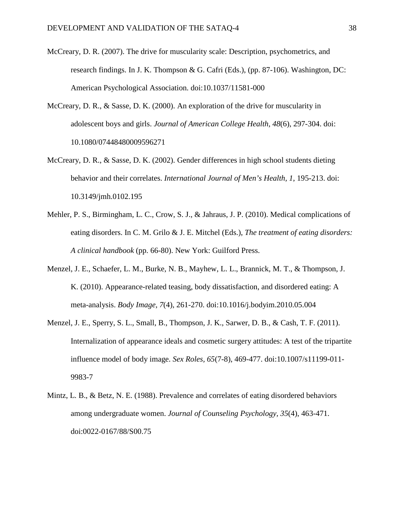- McCreary, D. R. (2007). The drive for muscularity scale: Description, psychometrics, and research findings. In J. K. Thompson & G. Cafri (Eds.), (pp. 87-106). Washington, DC: American Psychological Association. doi:10.1037/11581-000
- McCreary, D. R., & Sasse, D. K. (2000). An exploration of the drive for muscularity in adolescent boys and girls. *Journal of American College Health, 48*(6), 297-304. doi: 10.1080/07448480009596271
- McCreary, D. R., & Sasse, D. K. (2002). Gender differences in high school students dieting behavior and their correlates. *International Journal of Men's Health, 1*, 195-213. doi: 10.3149/jmh.0102.195
- Mehler, P. S., Birmingham, L. C., Crow, S. J., & Jahraus, J. P. (2010). Medical complications of eating disorders. In C. M. Grilo & J. E. Mitchel (Eds.), *The treatment of eating disorders: A clinical handbook* (pp. 66-80). New York: Guilford Press.
- Menzel, J. E., Schaefer, L. M., Burke, N. B., Mayhew, L. L., Brannick, M. T., & Thompson, J. K. (2010). Appearance-related teasing, body dissatisfaction, and disordered eating: A meta-analysis. *Body Image, 7*(4), 261-270. doi:10.1016/j.bodyim.2010.05.004
- Menzel, J. E., Sperry, S. L., Small, B., Thompson, J. K., Sarwer, D. B., & Cash, T. F. (2011). Internalization of appearance ideals and cosmetic surgery attitudes: A test of the tripartite influence model of body image. *Sex Roles, 65*(7-8), 469-477. doi:10.1007/s11199-011- 9983-7
- Mintz, L. B., & Betz, N. E. (1988). Prevalence and correlates of eating disordered behaviors among undergraduate women. *Journal of Counseling Psychology, 35*(4), 463-471. doi:0022-0167/88/S00.75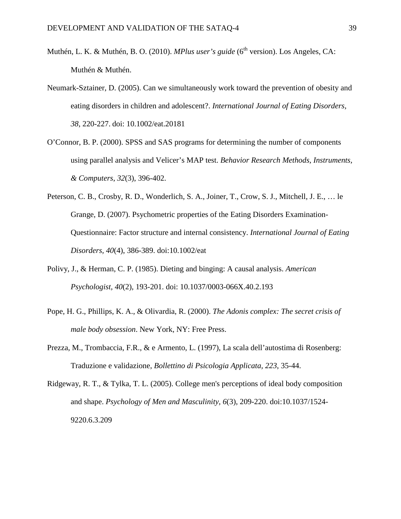- Muthén, L. K. & Muthén, B. O. (2010). *MPlus user's guide* (6<sup>th</sup> version). Los Angeles, CA: Muthén & Muthén.
- Neumark-Sztainer, D. (2005). Can we simultaneously work toward the prevention of obesity and eating disorders in children and adolescent?. *International Journal of Eating Disorders, 38*, 220-227. doi: 10.1002/eat.20181
- O'Connor, B. P. (2000). SPSS and SAS programs for determining the number of components using parallel analysis and Velicer's MAP test. *Behavior Research Methods, Instruments, & Computers*, *32*(3), 396-402.
- Peterson, C. B., Crosby, R. D., Wonderlich, S. A., Joiner, T., Crow, S. J., Mitchell, J. E., … le Grange, D. (2007). Psychometric properties of the Eating Disorders Examination-Questionnaire: Factor structure and internal consistency. *International Journal of Eating Disorders, 40*(4), 386-389. doi:10.1002/eat
- Polivy, J., & Herman, C. P. (1985). Dieting and binging: A causal analysis. *American Psychologist, 40*(2)*,* 193-201. doi: 10.1037/0003-066X.40.2.193
- Pope, H. G., Phillips, K. A., & Olivardia, R. (2000). *The Adonis complex: The secret crisis of male body obsession*. New York, NY: Free Press.
- Prezza, M., Trombaccia, F.R., & e Armento, L. (1997), La scala dell'autostima di Rosenberg: Traduzione e validazione, *Bollettino di Psicologia Applicata, 223*, 35-44.

Ridgeway, R. T., & Tylka, T. L. (2005). College men's perceptions of ideal body composition and shape. *Psychology of Men and Masculinity, 6*(3), 209-220. doi:10.1037/1524- 9220.6.3.209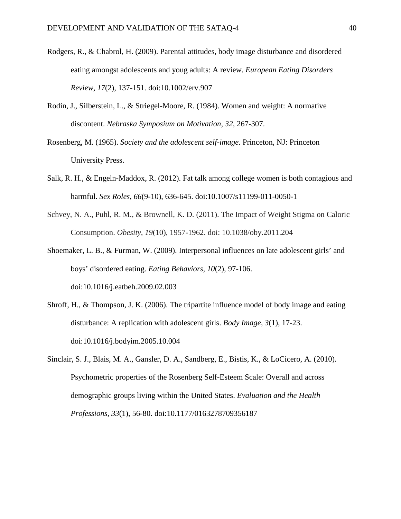- Rodgers, R., & Chabrol, H. (2009). Parental attitudes, body image disturbance and disordered eating amongst adolescents and youg adults: A review. *European Eating Disorders Review, 17*(2), 137-151. doi:10.1002/erv.907
- Rodin, J., Silberstein, L., & Striegel-Moore, R. (1984). Women and weight: A normative discontent. *Nebraska Symposium on Motivation, 32*, 267-307.
- Rosenberg, M. (1965). *Society and the adolescent self-image*. Princeton, NJ: Princeton University Press.
- Salk, R. H., & Engeln-Maddox, R. (2012). Fat talk among college women is both contagious and harmful. *Sex Roles, 66*(9-10), 636-645. doi:10.1007/s11199-011-0050-1
- Schvey, N. A., Puhl, R. M., & Brownell, K. D. (2011). The Impact of Weight Stigma on Caloric Consumption. *Obesity, 19*(10), 1957-1962. doi: 10.1038/oby.2011.204
- Shoemaker, L. B., & Furman, W. (2009). Interpersonal influences on late adolescent girls' and boys' disordered eating. *Eating Behaviors, 10*(2), 97-106. doi:10.1016/j.eatbeh.2009.02.003
- Shroff, H., & Thompson, J. K. (2006). The tripartite influence model of body image and eating disturbance: A replication with adolescent girls. *Body Image, 3*(1), 17-23. doi:10.1016/j.bodyim.2005.10.004
- Sinclair, S. J., Blais, M. A., Gansler, D. A., Sandberg, E., Bistis, K., & LoCicero, A. (2010). Psychometric properties of the Rosenberg Self-Esteem Scale: Overall and across demographic groups living within the United States. *Evaluation and the Health Professions, 33*(1), 56-80. doi:10.1177/0163278709356187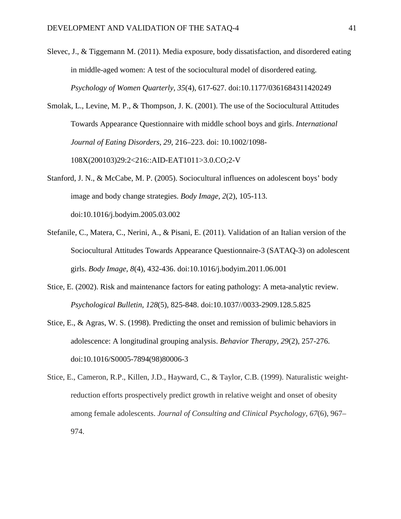- Slevec, J., & Tiggemann M. (2011). Media exposure, body dissatisfaction, and disordered eating in middle-aged women: A test of the sociocultural model of disordered eating. *Psychology of Women Quarterly, 35*(4), 617-627. doi:10.1177/0361684311420249
- Smolak, L., Levine, M. P., & Thompson, J. K. (2001). The use of the Sociocultural Attitudes Towards Appearance Questionnaire with middle school boys and girls. *International Journal of Eating Disorders, 29*, 216–223. doi: 10.1002/1098- 108X(200103)29:2<216::AID-EAT1011>3.0.CO;2-V
- Stanford, J. N., & McCabe, M. P. (2005). Sociocultural influences on adolescent boys' body image and body change strategies. *Body Image, 2*(2), 105-113. doi:10.1016/j.bodyim.2005.03.002
- Stefanile, C., Matera, C., Nerini, A., & Pisani, E. (2011). Validation of an Italian version of the Sociocultural Attitudes Towards Appearance Questionnaire-3 (SATAQ-3) on adolescent girls. *Body Image, 8*(4), 432-436. doi:10.1016/j.bodyim.2011.06.001
- Stice, E. (2002). Risk and maintenance factors for eating pathology: A meta-analytic review. *Psychological Bulletin, 128*(5), 825-848. doi:10.1037//0033-2909.128.5.825
- Stice, E., & Agras, W. S. (1998). Predicting the onset and remission of bulimic behaviors in adolescence: A longitudinal grouping analysis. *Behavior Therapy, 29*(2), 257-276. doi:10.1016/S0005-7894(98)80006-3
- Stice, E., Cameron, R.P., Killen, J.D., Hayward, C., & Taylor, C.B. (1999). Naturalistic weightreduction efforts prospectively predict growth in relative weight and onset of obesity among female adolescents. *Journal of Consulting and Clinical Psychology, 67*(6), 967– 974.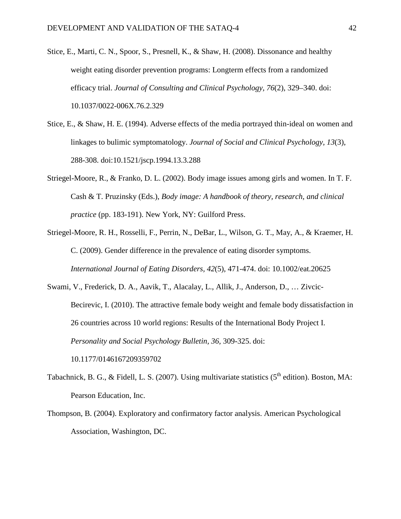- Stice, E., Marti, C. N., Spoor, S., Presnell, K., & Shaw, H. (2008). Dissonance and healthy weight eating disorder prevention programs: Longterm effects from a randomized efficacy trial. *Journal of Consulting and Clinical Psychology, 76*(2), 329–340. doi: 10.1037/0022-006X.76.2.329
- Stice, E., & Shaw, H. E. (1994). Adverse effects of the media portrayed thin-ideal on women and linkages to bulimic symptomatology. *Journal of Social and Clinical Psychology, 13*(3), 288-308. doi:10.1521/jscp.1994.13.3.288
- Striegel-Moore, R., & Franko, D. L. (2002). Body image issues among girls and women. In T. F. Cash & T. Pruzinsky (Eds.), *Body image: A handbook of theory, research, and clinical practice* (pp. 183-191). New York, NY: Guilford Press.
- Striegel-Moore, R. H., Rosselli, F., Perrin, N., DeBar, L., Wilson, G. T., May, A., & Kraemer, H. C. (2009). Gender difference in the prevalence of eating disorder symptoms. *International Journal of Eating Disorders, 42*(5), 471-474. doi: 10.1002/eat.20625
- Swami, V., Frederick, D. A., Aavik, T., Alacalay, L., Allik, J., Anderson, D., … Zivcic-Becirevic, I. (2010). The attractive female body weight and female body dissatisfaction in 26 countries across 10 world regions: Results of the International Body Project I. *Personality and Social Psychology Bulletin, 36,* 309-325. doi: 10.1177/0146167209359702
- Tabachnick, B. G., & Fidell, L. S. (2007). Using multivariate statistics  $(5<sup>th</sup>$  edition). Boston, MA: Pearson Education, Inc.
- Thompson, B. (2004). Exploratory and confirmatory factor analysis. American Psychological Association, Washington, DC.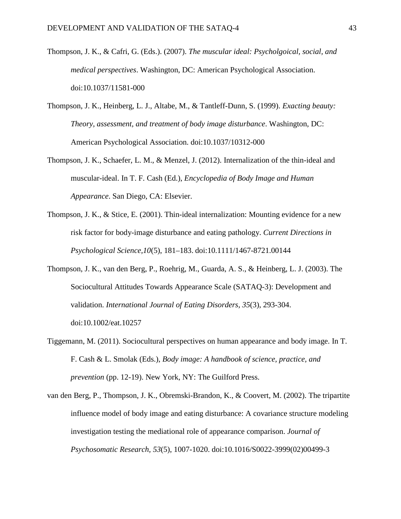- Thompson, J. K., & Cafri, G. (Eds.). (2007). *The muscular ideal: Psycholgoical, social, and medical perspectives*. Washington, DC: American Psychological Association. doi:10.1037/11581-000
- Thompson, J. K., Heinberg, L. J., Altabe, M., & Tantleff-Dunn, S. (1999). *Exacting beauty: Theory, assessment, and treatment of body image disturbance*. Washington, DC: American Psychological Association. doi:10.1037/10312-000
- Thompson, J. K., Schaefer, L. M., & Menzel, J. (2012). Internalization of the thin-ideal and muscular-ideal. In T. F. Cash (Ed.), *Encyclopedia of Body Image and Human Appearance*. San Diego, CA: Elsevier.
- Thompson, J. K., & Stice, E. (2001). Thin-ideal internalization: Mounting evidence for a new risk factor for body-image disturbance and eating pathology. *Current Directions in Psychological Science,10*(5), 181–183. doi:10.1111/1467-8721.00144
- Thompson, J. K., van den Berg, P., Roehrig, M., Guarda, A. S., & Heinberg, L. J. (2003). The Sociocultural Attitudes Towards Appearance Scale (SATAQ-3): Development and validation. *International Journal of Eating Disorders, 35*(3), 293-304. doi:10.1002/eat.10257
- Tiggemann, M. (2011). Sociocultural perspectives on human appearance and body image. In T. F. Cash & L. Smolak (Eds.), *Body image: A handbook of science, practice, and prevention* (pp. 12-19). New York, NY: The Guilford Press.
- van den Berg, P., Thompson, J. K., Obremski-Brandon, K., & Coovert, M. (2002). The tripartite influence model of body image and eating disturbance: A covariance structure modeling investigation testing the mediational role of appearance comparison. *Journal of Psychosomatic Research, 53*(5), 1007-1020. doi:10.1016/S0022-3999(02)00499-3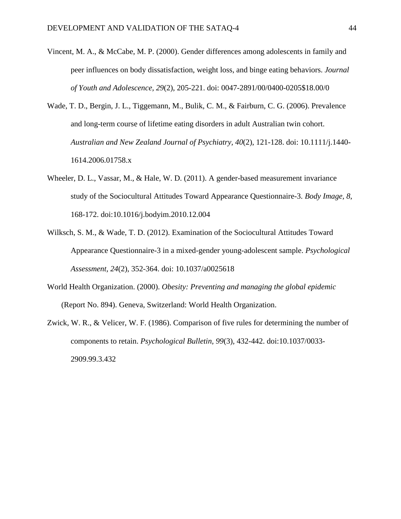- Vincent, M. A., & McCabe, M. P. (2000). Gender differences among adolescents in family and peer influences on body dissatisfaction, weight loss, and binge eating behaviors. *Journal of Youth and Adolescence, 29*(2), 205-221. doi: 0047-2891/00/0400-0205\$18.00/0
- Wade, T. D., Bergin, J. L., Tiggemann, M., Bulik, C. M., & Fairburn, C. G. (2006). Prevalence and long-term course of lifetime eating disorders in adult Australian twin cohort. *Australian and New Zealand Journal of Psychiatry, 40*(2), 121-128. doi: 10.1111/j.1440- 1614.2006.01758.x
- Wheeler, D. L., Vassar, M., & Hale, W. D. (2011). A gender-based measurement invariance study of the Sociocultural Attitudes Toward Appearance Questionnaire-3. *Body Image, 8*, 168-172. doi:10.1016/j.bodyim.2010.12.004
- Wilksch, S. M., & Wade, T. D. (2012). Examination of the Sociocultural Attitudes Toward Appearance Questionnaire-3 in a mixed-gender young-adolescent sample. *Psychological Assessment, 24*(2), 352-364. doi: 10.1037/a0025618
- World Health Organization. (2000). *Obesity: Preventing and managing the global epidemic* (Report No. 894). Geneva, Switzerland: World Health Organization.
- Zwick, W. R., & Velicer, W. F. (1986). Comparison of five rules for determining the number of components to retain. *Psychological Bulletin, 99*(3)*,* 432-442. doi:10.1037/0033- 2909.99.3.432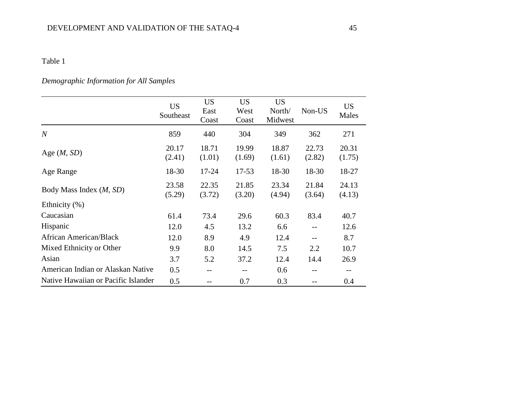# *Demographic Information for All Samples*

|                                          | <b>US</b><br>Southeast | <b>US</b><br>East<br>Coast | <b>US</b><br>West<br>Coast | <b>US</b><br>North/<br>Midwest | Non-US            | <b>US</b><br>Males |
|------------------------------------------|------------------------|----------------------------|----------------------------|--------------------------------|-------------------|--------------------|
| $\boldsymbol{N}$                         | 859                    | 440                        | 304                        | 349                            | 362               | 271                |
| Age $(M, SD)$                            | 20.17<br>(2.41)        | 18.71<br>(1.01)            | 19.99<br>(1.69)            | 18.87<br>(1.61)                | 22.73<br>(2.82)   | 20.31<br>(1.75)    |
| Age Range                                | 18-30                  | $17 - 24$                  | $17 - 53$                  | 18-30                          | 18-30             | 18-27              |
| Body Mass Index ( <i>M</i> , <i>SD</i> ) | 23.58<br>(5.29)        | 22.35<br>(3.72)            | 21.85<br>(3.20)            | 23.34<br>(4.94)                | 21.84<br>(3.64)   | 24.13<br>(4.13)    |
| Ethnicity (%)                            |                        |                            |                            |                                |                   |                    |
| Caucasian                                | 61.4                   | 73.4                       | 29.6                       | 60.3                           | 83.4              | 40.7               |
| Hispanic                                 | 12.0                   | 4.5                        | 13.2                       | 6.6                            | $\qquad \qquad -$ | 12.6               |
| African American/Black                   | 12.0                   | 8.9                        | 4.9                        | 12.4                           |                   | 8.7                |
| Mixed Ethnicity or Other                 | 9.9                    | 8.0                        | 14.5                       | 7.5                            | 2.2               | 10.7               |
| Asian                                    | 3.7                    | 5.2                        | 37.2                       | 12.4                           | 14.4              | 26.9               |
| American Indian or Alaskan Native        | 0.5                    | $- -$                      | $- -$                      | 0.6                            | $- -$             | $- -$              |
| Native Hawaiian or Pacific Islander      | 0.5                    | $ -$                       | 0.7                        | 0.3                            |                   | 0.4                |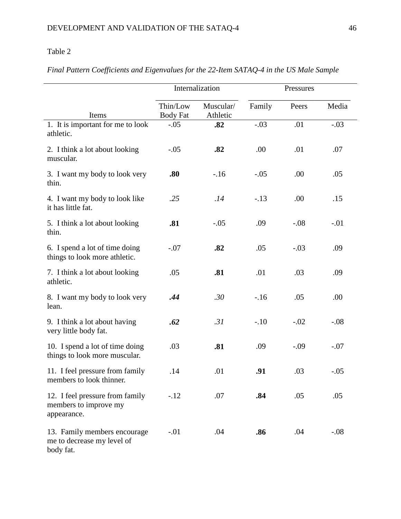|                                                                         | Internalization             |                       |        | Pressures |        |
|-------------------------------------------------------------------------|-----------------------------|-----------------------|--------|-----------|--------|
| Items                                                                   | Thin/Low<br><b>Body Fat</b> | Muscular/<br>Athletic | Family | Peers     | Media  |
| 1. It is important for me to look<br>athletic.                          | $-.05$                      | .82                   | $-.03$ | .01       | $-.03$ |
| 2. I think a lot about looking<br>muscular.                             | $-.05$                      | .82                   | .00    | .01       | .07    |
| 3. I want my body to look very<br>thin.                                 | .80                         | $-16$                 | $-.05$ | .00       | .05    |
| 4. I want my body to look like<br>it has little fat.                    | .25                         | .14                   | $-.13$ | .00       | .15    |
| 5. I think a lot about looking<br>thin.                                 | .81                         | $-.05$                | .09    | $-.08$    | $-.01$ |
| 6. I spend a lot of time doing<br>things to look more athletic.         | $-.07$                      | .82                   | .05    | $-.03$    | .09    |
| 7. I think a lot about looking<br>athletic.                             | .05                         | .81                   | .01    | .03       | .09    |
| 8. I want my body to look very<br>lean.                                 | .44                         | .30                   | $-16$  | .05       | .00    |
| 9. I think a lot about having<br>very little body fat.                  | .62                         | .31                   | $-.10$ | $-.02$    | $-.08$ |
| 10. I spend a lot of time doing<br>things to look more muscular.        | .03                         | .81                   | .09    | $-.09$    | $-.07$ |
| 11. I feel pressure from family<br>members to look thinner.             | .14                         | .01                   | .91    | .03       | $-.05$ |
| 12. I feel pressure from family<br>members to improve my<br>appearance. | $-.12$                      | .07                   | .84    | .05       | .05    |
| 13. Family members encourage<br>me to decrease my level of<br>body fat. | $-.01$                      | .04                   | .86    | .04       | $-.08$ |

# *Final Pattern Coefficients and Eigenvalues for the 22-Item SATAQ-4 in the US Male Sample*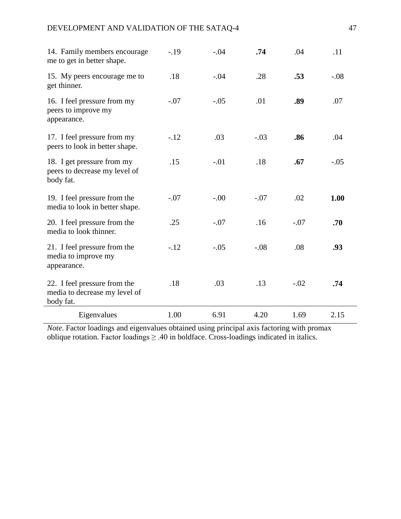| Eigenvalues                                                                | 1.00   | 6.91   | 4.20   | 1.69   | 2.15   |
|----------------------------------------------------------------------------|--------|--------|--------|--------|--------|
| 22. I feel pressure from the<br>media to decrease my level of<br>body fat. | .18    | .03    | .13    | $-.02$ | .74    |
| 21. I feel pressure from the<br>media to improve my<br>appearance.         | $-.12$ | $-.05$ | $-.08$ | .08    | .93    |
| 20. I feel pressure from the<br>media to look thinner.                     | .25    | $-.07$ | .16    | $-.07$ | .70    |
| 19. I feel pressure from the<br>media to look in better shape.             | $-.07$ | $-.00$ | $-.07$ | .02    | 1.00   |
| 18. I get pressure from my<br>peers to decrease my level of<br>body fat.   | .15    | $-.01$ | .18    | .67    | $-.05$ |
| 17. I feel pressure from my<br>peers to look in better shape.              | $-12$  | .03    | $-.03$ | .86    | .04    |
| 16. I feel pressure from my<br>peers to improve my<br>appearance.          | $-.07$ | $-.05$ | .01    | .89    | .07    |
| 15. My peers encourage me to<br>get thinner.                               | .18    | $-.04$ | .28    | .53    | $-.08$ |
| 14. Family members encourage<br>me to get in better shape.                 | $-19$  | $-.04$ | .74    | .04    | .11    |

*Note*. Factor loadings and eigenvalues obtained using principal axis factoring with promax oblique rotation. Factor loadings  $\geq .40$  in boldface. Cross-loadings indicated in italics.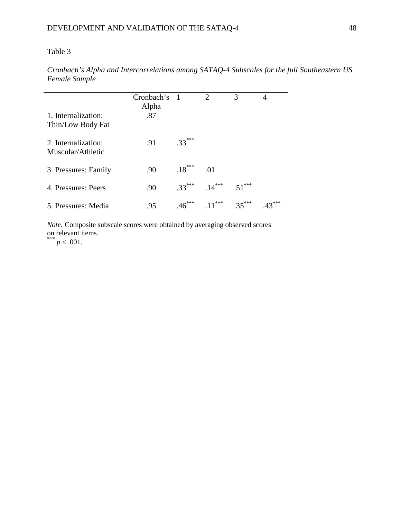*Cronbach's Alpha and Intercorrelations among SATAQ-4 Subscales for the full Southeastern US Female Sample*

|                                          | Cronbach's<br>Alpha | $\overline{1}$ | $\mathcal{D}_{\mathcal{A}}$ | 3        | 4 |
|------------------------------------------|---------------------|----------------|-----------------------------|----------|---|
| 1. Internalization:<br>Thin/Low Body Fat | .87                 |                |                             |          |   |
| 2. Internalization:<br>Muscular/Athletic | .91                 | $.33***$       |                             |          |   |
| 3. Pressures: Family                     | .90                 | $.18***$       | .01                         |          |   |
| 4. Pressures: Peers                      | .90                 | $.33***$       | $.14***$                    | $.51***$ |   |
| 5. Pressures: Media                      | .95                 | .46            | $.11***$                    | $35***$  |   |

*Note*. Composite subscale scores were obtained by averaging observed scores on relevant items.<br>
\*\*\*  $p < .001$ .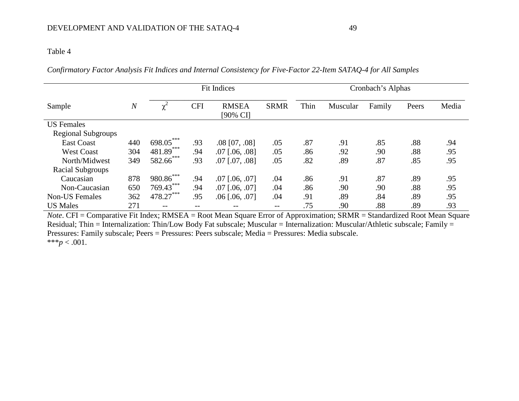*Confirmatory Factor Analysis Fit Indices and Internal Consistency for Five-Factor 22-Item SATAQ-4 for All Samples*

|                           |                | <b>Fit Indices</b> |            |                          |                   | Cronbach's Alphas |          |        |       |       |
|---------------------------|----------------|--------------------|------------|--------------------------|-------------------|-------------------|----------|--------|-------|-------|
| Sample                    | $\overline{N}$ |                    | <b>CFI</b> | <b>RMSEA</b><br>[90% CI] | <b>SRMR</b>       | Thin              | Muscular | Family | Peers | Media |
| <b>US</b> Females         |                |                    |            |                          |                   |                   |          |        |       |       |
| <b>Regional Subgroups</b> |                |                    |            |                          |                   |                   |          |        |       |       |
| <b>East Coast</b>         | 440            | 698.05             | .93        | $.08$ [07, $.08$ ]       | .05               | .87               | .91      | .85    | .88   | .94   |
| <b>West Coast</b>         | 304            | 481.89***          | .94        | $.07$ [.06, .08]         | .05               | .86               | .92      | .90    | .88   | .95   |
| North/Midwest             | 349            | 582.66***          | .93        | $.07$ [.07, .08]         | .05               | .82               | .89      | .87    | .85   | .95   |
| Racial Subgroups          |                |                    |            |                          |                   |                   |          |        |       |       |
| Caucasian                 | 878            | $980.86***$        | .94        | $.07$ [ $.06, .07$ ]     | .04               | .86               | .91      | .87    | .89   | .95   |
| Non-Caucasian             | 650            | $769.43***$        | .94        | $.07$ [ $.06, .07$ ]     | .04               | .86               | .90      | .90    | .88   | .95   |
| <b>Non-US Females</b>     | 362            | 478.27***          | .95        | $.06$ [ $.06$ , $.07$ ]  | .04               | .91               | .89      | .84    | .89   | .95   |
| <b>US Males</b>           | 271            | --                 |            | $- -$                    | $\qquad \qquad -$ | .75               | .90      | .88    | .89   | .93   |

*Note*. CFI = Comparative Fit Index; RMSEA = Root Mean Square Error of Approximation; SRMR = Standardized Root Mean Square Residual; Thin = Internalization: Thin/Low Body Fat subscale; Muscular = Internalization: Muscular/Athletic subscale; Family = Pressures: Family subscale; Peers = Pressures: Peers subscale; Media = Pressures: Media subscale. \*\*\* $p < .001$ .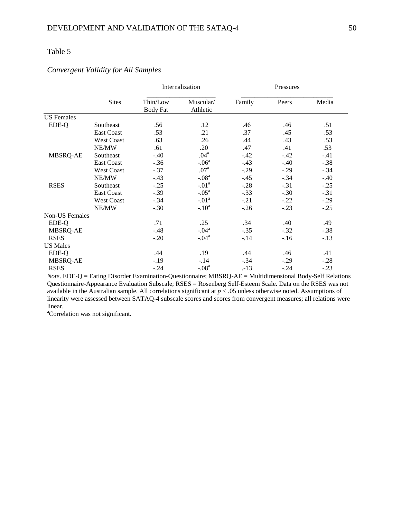## *Convergent Validity for All Samples*

|                       |                   |                             | Internalization       | Pressures |        |        |  |
|-----------------------|-------------------|-----------------------------|-----------------------|-----------|--------|--------|--|
|                       | <b>Sites</b>      | Thin/Low<br><b>Body Fat</b> | Muscular/<br>Athletic | Family    | Peers  | Media  |  |
| <b>US</b> Females     |                   |                             |                       |           |        |        |  |
| EDE-Q                 | Southeast         | .56                         | .12                   | .46       | .46    | .51    |  |
|                       | <b>East Coast</b> | .53                         | .21                   | .37       | .45    | .53    |  |
|                       | <b>West Coast</b> | .63                         | .26                   | .44       | .43    | .53    |  |
|                       | NE/MW             | .61                         | .20                   | .47       | .41    | .53    |  |
| MBSRQ-AE              | Southeast         | $-.40$                      | .04 <sup>a</sup>      | $-.42$    | $-.42$ | $-.41$ |  |
|                       | <b>East Coast</b> | $-.36$                      | $-.06a$               | $-.43$    | $-.40$ | $-.38$ |  |
|                       | <b>West Coast</b> | $-.37$                      | .07 <sup>a</sup>      | $-.29$    | $-.29$ | $-.34$ |  |
|                       | NE/MW             | $-.43$                      | $-.08a$               | $-.45$    | $-.34$ | $-.40$ |  |
| <b>RSES</b>           | Southeast         | $-.25$                      | $-.01a$               | $-.28$    | $-.31$ | $-.25$ |  |
|                       | <b>East Coast</b> | $-.39$                      | $-.05^{\mathrm{a}}$   | $-.33$    | $-.30$ | $-.31$ |  |
|                       | <b>West Coast</b> | $-.34$                      | $-.01a$               | $-.21$    | $-.22$ | $-.29$ |  |
|                       | NE/MW             | $-.30$                      | $-.10a$               | $-.26$    | $-.23$ | $-.25$ |  |
| <b>Non-US Females</b> |                   |                             |                       |           |        |        |  |
| EDE-Q                 |                   | .71                         | .25                   | .34       | .40    | .49    |  |
| MBSRQ-AE              |                   | $-.48$                      | $-.04a$               | $-.35$    | $-.32$ | $-.38$ |  |
| <b>RSES</b>           |                   | $-.20$                      | $-.04a$               | $-.14$    | $-.16$ | $-.13$ |  |
| <b>US Males</b>       |                   |                             |                       |           |        |        |  |
| EDE-Q                 |                   | .44                         | .19                   | .44       | .46    | .41    |  |
| MBSRQ-AE              |                   | $-.19$                      | $-.14$                | $-.34$    | $-.29$ | $-.28$ |  |
| <b>RSES</b>           |                   | $-.24$                      | $-.08a$               | $-13$     | $-.24$ | $-.23$ |  |

*Note*. EDE-Q = Eating Disorder Examination-Questionnaire; MBSRQ-AE = Multidimensional Body-Self Relations Questionnaire-Appearance Evaluation Subscale; RSES = Rosenberg Self-Esteem Scale. Data on the RSES was not available in the Australian sample. All correlations significant at *p* < .05 unless otherwise noted. Assumptions of linearity were assessed between SATAQ-4 subscale scores and scores from convergent measures; all relations were linear.

<sup>a</sup>Correlation was not significant.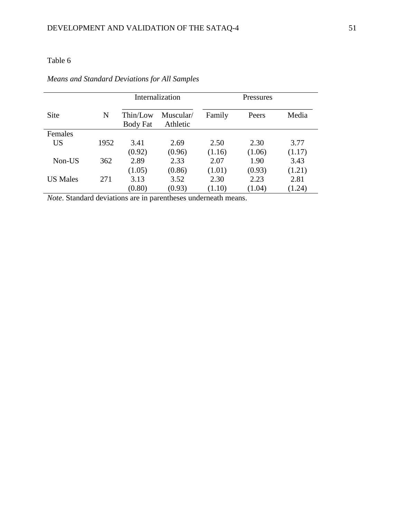|                 |      |                      | Internalization       | <b>Pressures</b> |        |        |  |
|-----------------|------|----------------------|-----------------------|------------------|--------|--------|--|
| <b>Site</b>     | N    | Thin/Low<br>Body Fat | Muscular/<br>Athletic | Family           | Peers  | Media  |  |
| Females         |      |                      |                       |                  |        |        |  |
| <b>US</b>       | 1952 | 3.41                 | 2.69                  | 2.50             | 2.30   | 3.77   |  |
|                 |      | (0.92)               | (0.96)                | (1.16)           | (1.06) | (1.17) |  |
| Non-US          | 362  | 2.89                 | 2.33                  | 2.07             | 1.90   | 3.43   |  |
|                 |      | (1.05)               | (0.86)                | (1.01)           | (0.93) | (1.21) |  |
| <b>US Males</b> | 271  | 3.13                 | 3.52                  | 2.30             | 2.23   | 2.81   |  |
|                 |      | (0.80)               | (0.93)                | (1.10)           | (1.04) | (1.24) |  |

## *Means and Standard Deviations for All Samples*

*Note*. Standard deviations are in parentheses underneath means.